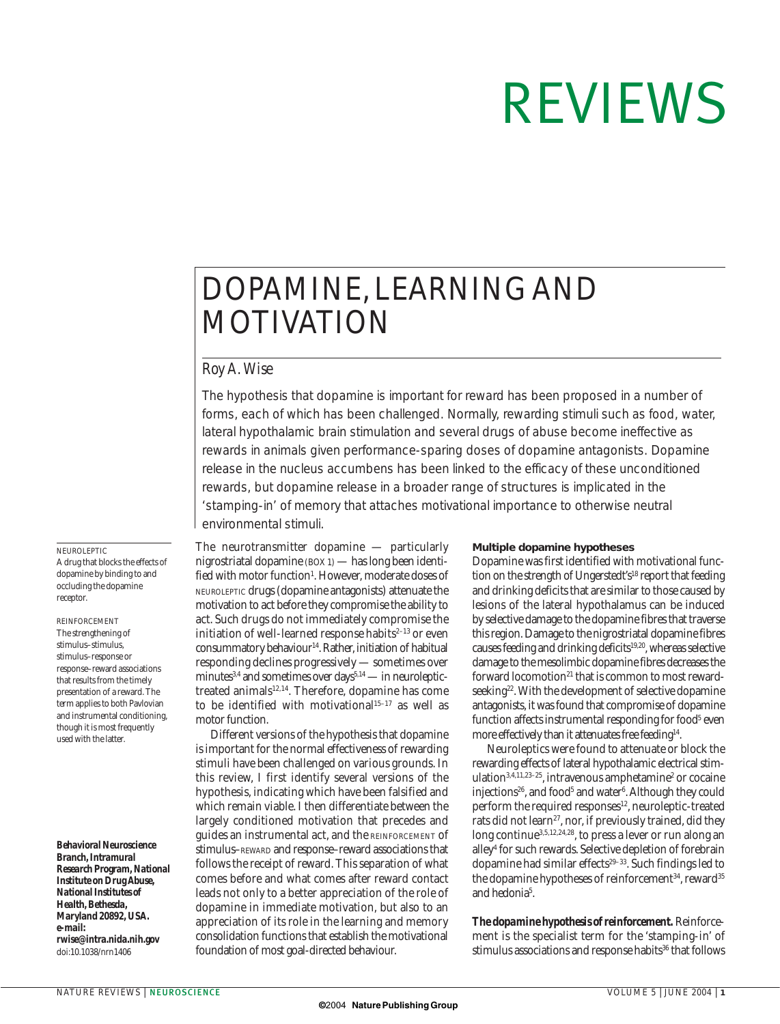# DOPAMINE, LEARNING AND **MOTIVATION**

# *Roy A. Wise*

The hypothesis that dopamine is important for reward has been proposed in a number of forms, each of which has been challenged. Normally, rewarding stimuli such as food, water, lateral hypothalamic brain stimulation and several drugs of abuse become ineffective as rewards in animals given performance-sparing doses of dopamine antagonists. Dopamine release in the nucleus accumbens has been linked to the efficacy of these unconditioned rewards, but dopamine release in a broader range of structures is implicated in the 'stamping-in' of memory that attaches motivational importance to otherwise neutral environmental stimuli.

NEUROLEPTIC

A drug that blocks the effects of dopamine by binding to and occluding the dopamine receptor.

REINFORCEMENT The strengthening of stimulus–stimulus, stimulus–response or response–reward associations that results from the timely presentation of a reward. The term applies to both Pavlovian and instrumental conditioning, though it is most frequently used with the latter.

*Behavioral Neuroscience Branch, Intramural Research Program, National Institute on Drug Abuse, National Institutes of Health, Bethesda, Maryland 20892, USA. e-mail: rwise@intra.nida.nih.gov* doi:10.1038/nrn1406

The neurotransmitter dopamine — particularly nigrostriatal dopamine (BOX 1) — has long been identified with motor function<sup>1</sup>. However, moderate doses of NEUROLEPTIC drugs (dopamine antagonists) attenuate the motivation to act before they compromise the ability to act. Such drugs do not immediately compromise the initiation of well-learned response habits $2-13$  or even consummatory behaviour<sup>14</sup>. Rather, initiation of habitual responding declines progressively — sometimes over minutes<sup>3,4</sup> and sometimes over days<sup>5,14</sup> — in neuroleptictreated animals<sup>12,14</sup>. Therefore, dopamine has come to be identified with motivational<sup>15-17</sup> as well as motor function.

Different versions of the hypothesis that dopamine is important for the normal effectiveness of rewarding stimuli have been challenged on various grounds. In this review, I first identify several versions of the hypothesis, indicating which have been falsified and which remain viable. I then differentiate between the largely conditioned motivation that precedes and guides an instrumental act, and the REINFORCEMENT of stimulus–REWARD and response–reward associations that follows the receipt of reward. This separation of what comes before and what comes after reward contact leads not only to a better appreciation of the role of dopamine in immediate motivation, but also to an appreciation of its role in the learning and memory consolidation functions that establish the motivational foundation of most goal-directed behaviour.

### **Multiple dopamine hypotheses**

Dopamine was first identified with motivational function on the strength of Ungerstedt's<sup>18</sup> report that feeding and drinking deficits that are similar to those caused by lesions of the lateral hypothalamus can be induced by selective damage to the dopamine fibres that traverse this region. Damage to the nigrostriatal dopamine fibres causes feeding and drinking deficits<sup>19,20</sup>, whereas selective damage to the mesolimbic dopamine fibres decreases the forward locomotion<sup>21</sup> that is common to most rewardseeking<sup>22</sup>. With the development of selective dopamine antagonists, it was found that compromise of dopamine function affects instrumental responding for food<sup>5</sup> even more effectively than it attenuates free feeding<sup>14</sup>.

Neuroleptics were found to attenuate or block the rewarding effects of lateral hypothalamic electrical stimulation<sup>3,4,11,23-25</sup>, intravenous amphetamine<sup>2</sup> or cocaine injections<sup>26</sup>, and food<sup>5</sup> and water<sup>6</sup>. Although they could perform the required responses<sup>12</sup>, neuroleptic-treated rats did not learn<sup>27</sup>, nor, if previously trained, did they long continue<sup>3,5,12,24,28</sup>, to press a lever or run along an alley4 for such rewards. Selective depletion of forebrain dopamine had similar effects<sup>29–33</sup>. Such findings led to the dopamine hypotheses of reinforcement<sup>34</sup>, reward<sup>35</sup> and hedonia<sup>5</sup>.

*The dopamine hypothesis of reinforcement.* Reinforcement is the specialist term for the 'stamping-in' of stimulus associations and response habits<sup>36</sup> that follows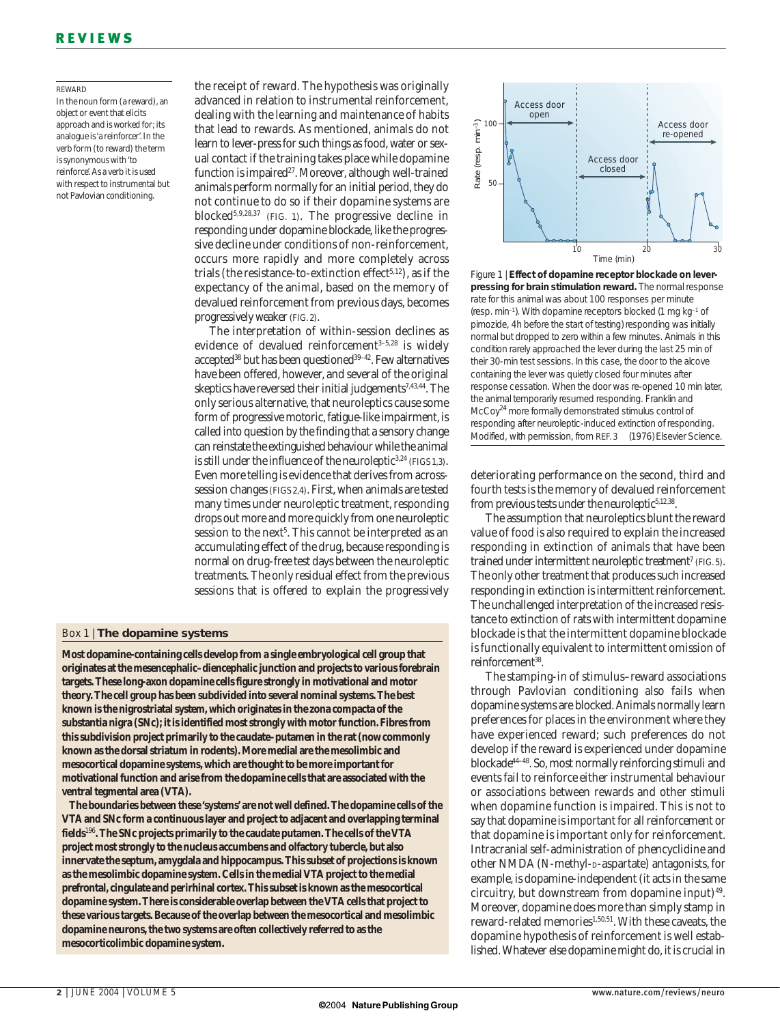#### REWARD

In the noun form (a reward), an object or event that elicits approach and is worked for; its analogue is 'a reinforcer'. In the verb form (to reward) the term is synonymous with 'to reinforce'. As a verb it is used with respect to instrumental but not Pavlovian conditioning.

the receipt of reward. The hypothesis was originally advanced in relation to instrumental reinforcement, dealing with the learning and maintenance of habits that lead to rewards. As mentioned, animals do not learn to lever-press for such things as food, water or sexual contact if the training takes place while dopamine function is impaired<sup>27</sup>. Moreover, although well-trained animals perform normally for an initial period, they do not continue to do so if their dopamine systems are blocked5,9,28,37 (FIG. 1). The progressive decline in responding under dopamine blockade, like the progressive decline under conditions of non-reinforcement, occurs more rapidly and more completely across trials (the resistance-to-extinction effect<sup>5,12</sup>), as if the expectancy of the animal, based on the memory of devalued reinforcement from previous days, becomes progressively weaker (FIG. 2).

The interpretation of within-session declines as evidence of devalued reinforcement $3-5,28$  is widely accepted<sup>38</sup> but has been questioned<sup>39-42</sup>. Few alternatives have been offered, however, and several of the original skeptics have reversed their initial judgements<sup>7,43,44</sup>. The only serious alternative, that neuroleptics cause some form of progressive motoric, fatigue-like impairment, is called into question by the finding that a sensory change can reinstate the extinguished behaviour while the animal is still under the influence of the neuroleptic<sup>3,24</sup> (FIGS 1.3). Even more telling is evidence that derives from acrosssession changes (FIGS 2,4). First, when animals are tested many times under neuroleptic treatment, responding drops out more and more quickly from one neuroleptic session to the next<sup>5</sup>. This cannot be interpreted as an accumulating effect of the drug, because responding is normal on drug-free test days between the neuroleptic treatments. The only residual effect from the previous sessions that is offered to explain the progressively

#### Box 1 | **The dopamine systems**

**Most dopamine-containing cells develop from a single embryological cell group that originates at the mesencephalic–diencephalic junction and projects to various forebrain targets. These long-axon dopamine cells figure strongly in motivational and motor theory. The cell group has been subdivided into several nominal systems. The best known is the nigrostriatal system, which originates in the zona compacta of the substantia nigra (SNc); it is identified most strongly with motor function. Fibres from this subdivision project primarily to the caudate–putamen in the rat (now commonly known as the dorsal striatum in rodents). More medial are the mesolimbic and mesocortical dopamine systems, which are thought to be more important for motivational function and arise from the dopamine cells that are associated with the ventral tegmental area (VTA).**

**The boundaries between these 'systems' are not well defined. The dopamine cells of the VTA and SNc form a continuous layer and project to adjacent and overlapping terminal fields**<sup>196</sup>**.The SNc projects primarily to the caudate putamen. The cells of the VTA project most strongly to the nucleus accumbens and olfactory tubercle, but also innervate the septum, amygdala and hippocampus. This subset of projections is known as the mesolimbic dopamine system. Cells in the medial VTA project to the medial prefrontal, cingulate and perirhinal cortex. This subset is known as the mesocortical dopamine system. There is considerable overlap between the VTA cells that project to these various targets. Because of the overlap between the mesocortical and mesolimbic dopamine neurons, the two systems are often collectively referred to as the mesocorticolimbic dopamine system.**



Figure 1 | **Effect of dopamine receptor blockade on leverpressing for brain stimulation reward.** The normal response rate for this animal was about 100 responses per minute (resp. min–1). With dopamine receptors blocked (1 mg kg–1 of pimozide, 4h before the start of testing) responding was initially normal but dropped to zero within a few minutes. Animals in this condition rarely approached the lever during the last 25 min of their 30-min test sessions. In this case, the door to the alcove containing the lever was quietly closed four minutes after response cessation. When the door was re-opened 10 min later, the animal temporarily resumed responding. Franklin and McCoy<sup>24</sup> more formally demonstrated stimulus control of responding after neuroleptic-induced extinction of responding. Modified, with permission, from REF. 3 © (1976) Elsevier Science.

deteriorating performance on the second, third and fourth tests is the memory of devalued reinforcement from previous tests under the neuroleptic $5,12,38$ .

The assumption that neuroleptics blunt the reward value of food is also required to explain the increased responding in extinction of animals that have been trained under intermittent neuroleptic treatment<sup>7</sup> (FIG. 5). The only other treatment that produces such increased responding in extinction is intermittent reinforcement. The unchallenged interpretation of the increased resistance to extinction of rats with intermittent dopamine blockade is that the intermittent dopamine blockade is functionally equivalent to intermittent omission of reinforcement<sup>38</sup>.

The stamping-in of stimulus–reward associations through Pavlovian conditioning also fails when dopamine systems are blocked. Animals normally learn preferences for places in the environment where they have experienced reward; such preferences do not develop if the reward is experienced under dopamine blockade44–48. So, most normally reinforcing stimuli and events fail to reinforce either instrumental behaviour or associations between rewards and other stimuli when dopamine function is impaired. This is not to say that dopamine is important for all reinforcement or that dopamine is important only for reinforcement. Intracranial self-administration of phencyclidine and other NMDA (*N*-methyl-<sub>D</sub>-aspartate) antagonists, for example, is dopamine-independent (it acts in the same circuitry, but downstream from dopamine input)<sup>49</sup>. Moreover, dopamine does more than simply stamp in reward-related memories<sup>1,50,51</sup>. With these caveats, the dopamine hypothesis of reinforcement is well established. Whatever else dopamine might do, it is crucial in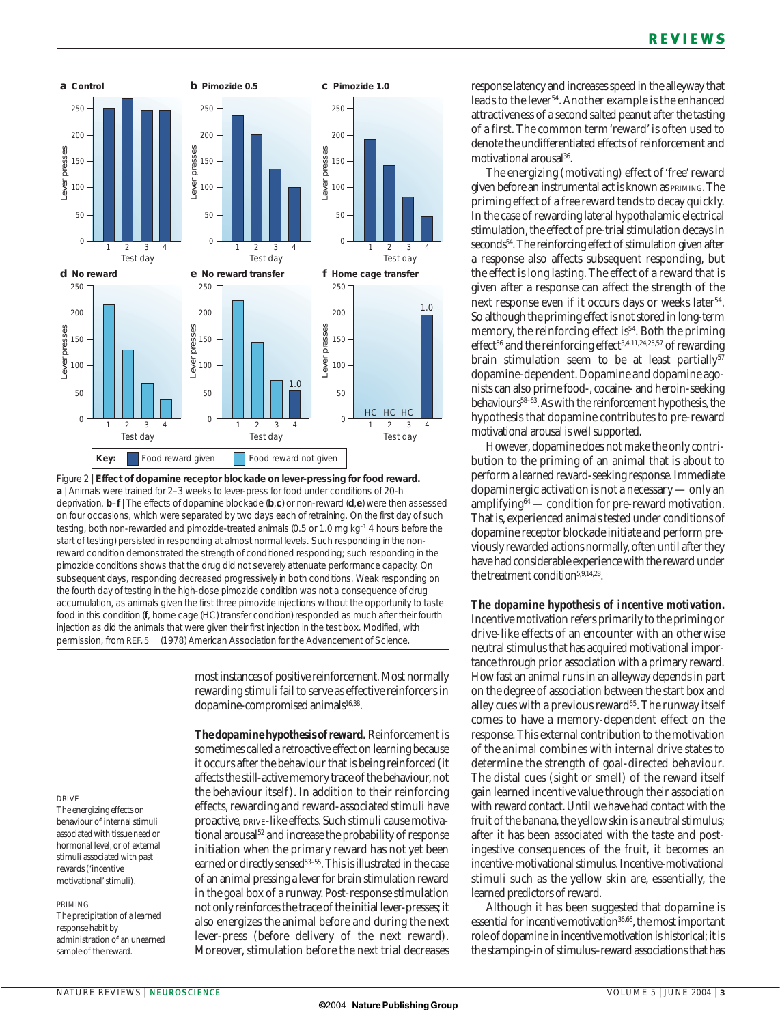

Figure 2 | **Effect of dopamine receptor blockade on lever-pressing for food reward. a** | Animals were trained for 2–3 weeks to lever-press for food under conditions of 20-h deprivation. **b**–**f** | The effects of dopamine blockade (**b**,**c**) or non-reward (**d**,**e**) were then assessed on four occasions, which were separated by two days each of retraining. On the first day of such testing, both non-rewarded and pimozide-treated animals (0.5 or 1.0 mg kg–1 4 hours before the start of testing) persisted in responding at almost normal levels. Such responding in the nonreward condition demonstrated the strength of conditioned responding; such responding in the pimozide conditions shows that the drug did not severely attenuate performance capacity. On subsequent days, responding decreased progressively in both conditions. Weak responding on the fourth day of testing in the high-dose pimozide condition was not a consequence of drug accumulation, as animals given the first three pimozide injections without the opportunity to taste food in this condition (**f**, home cage (HC) transfer condition) responded as much after their fourth injection as did the animals that were given their first injection in the test box. Modified, with permission, from REF. 5  $\odot$  (1978) American Association for the Advancement of Science

most instances of positive reinforcement. Most normally rewarding stimuli fail to serve as effective reinforcers in dopamine-compromised animals<sup>16,38</sup>.

*The dopamine hypothesis of reward.* Reinforcement is

DRIVE

The energizing effects on behaviour of internal stimuli associated with tissue need or hormonal level, or of external stimuli associated with past rewards ('incentive motivational' stimuli).

#### PRIMING

The precipitation of a learned response habit by administration of an unearned sample of the reward

sometimes called a retroactive effect on learning because it occurs after the behaviour that is being reinforced (it affects the still-active memory trace of the behaviour, not the behaviour itself). In addition to their reinforcing effects, rewarding and reward-associated stimuli have proactive, DRIVE-like effects. Such stimuli cause motivational arousal<sup>52</sup> and increase the probability of response initiation when the primary reward has not yet been earned or directly sensed<sup>53-55</sup>. This is illustrated in the case of an animal pressing a lever for brain stimulation reward in the goal box of a runway. Post-response stimulation not only reinforces the trace of the initial lever-presses; it also energizes the animal before and during the next lever-press (before delivery of the next reward). Moreover, stimulation before the next trial decreases

response latency and increases speed in the alleyway that leads to the lever<sup>54</sup>. Another example is the enhanced attractiveness of a second salted peanut after the tasting of a first. The common term 'reward' is often used to denote the undifferentiated effects of reinforcement and motivational arousal<sup>36</sup>.

The energizing (motivating) effect of 'free' reward given before an instrumental act is known as PRIMING. The priming effect of a free reward tends to decay quickly. In the case of rewarding lateral hypothalamic electrical stimulation, the effect of pre-trial stimulation decays in seconds<sup>54</sup>. The reinforcing effect of stimulation given after a response also affects subsequent responding, but the effect is long lasting. The effect of a reward that is given after a response can affect the strength of the next response even if it occurs days or weeks later<sup>54</sup>. So although the priming effect is not stored in long-term memory, the reinforcing effect is<sup>54</sup>. Both the priming effect<sup>56</sup> and the reinforcing effect<sup>3,4,11,24,25,57</sup> of rewarding brain stimulation seem to be at least partially $57$ dopamine-dependent. Dopamine and dopamine agonists can also prime food-, cocaine- and heroin-seeking behaviours<sup>58-63</sup>. As with the reinforcement hypothesis, the hypothesis that dopamine contributes to pre-reward motivational arousal is well supported.

However, dopamine does not make the only contribution to the priming of an animal that is about to perform a learned reward-seeking response. Immediate dopaminergic activation is not a necessary — only an  $amplifying<sup>64</sup> — condition for pre-reward motivation.$ That is, experienced animals tested under conditions of dopamine receptor blockade initiate and perform previously rewarded actions normally, often until after they have had considerable experience with the reward under the treatment condition<sup>5,9,14,28</sup>.

*The dopamine hypothesis of incentive motivation.* Incentive motivation refers primarily to the priming or drive-like effects of an encounter with an otherwise neutral stimulus that has acquired motivational importance through prior association with a primary reward. How fast an animal runs in an alleyway depends in part on the degree of association between the start box and alley cues with a previous reward $65$ . The runway itself comes to have a memory-dependent effect on the response. This external contribution to the motivation of the animal combines with internal drive states to determine the strength of goal-directed behaviour. The distal cues (sight or smell) of the reward itself gain learned incentive value through their association with reward contact. Until we have had contact with the fruit of the banana, the yellow skin is a neutral stimulus; after it has been associated with the taste and postingestive consequences of the fruit, it becomes an incentive-motivational stimulus. Incentive-motivational stimuli such as the yellow skin are, essentially, the learned predictors of reward.

Although it has been suggested that dopamine is essential for incentive motivation $36,66$ , the most important role of dopamine in incentive motivation is historical; it is the stamping-in of stimulus–reward associations that has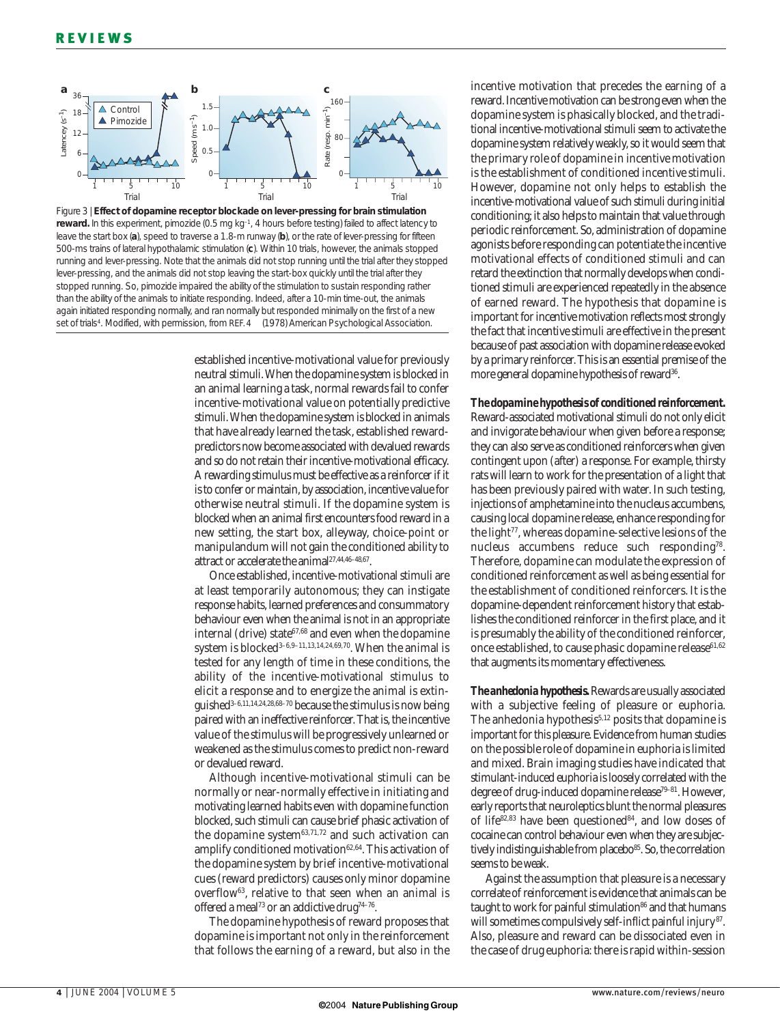

Figure 3 | **Effect of dopamine receptor blockade on lever-pressing for brain stimulation reward.** In this experiment, pimozide (0.5 mg kg<sup>-1</sup>, 4 hours before testing) failed to affect latency to leave the start box (**a**), speed to traverse a 1.8-m runway (**b**), or the rate of lever-pressing for fifteen 500-ms trains of lateral hypothalamic stimulation (**c**). Within 10 trials, however, the animals stopped running and lever-pressing. Note that the animals did not stop running until the trial after they stopped lever-pressing, and the animals did not stop leaving the start-box quickly until the trial after they stopped running. So, pimozide impaired the ability of the stimulation to sustain responding rather than the ability of the animals to initiate responding. Indeed, after a 10-min time-out, the animals again initiated responding normally, and ran normally but responded minimally on the first of a new set of trials<sup>4</sup>. Modified, with permission, from REF. 4 © (1978) American Psychological Association.

established incentive-motivational value for previously neutral stimuli.When the dopamine system is blocked in an animal learning a task, normal rewards fail to confer incentive-motivational value on potentially predictive stimuli.When the dopamine system is blocked in animals that have already learned the task, established rewardpredictors now become associated with devalued rewards and so do not retain their incentive-motivational efficacy. A rewarding stimulus must be effective as a reinforcer if it is to confer or maintain, by association, incentive value for otherwise neutral stimuli. If the dopamine system is blocked when an animal first encounters food reward in a new setting, the start box, alleyway, choice-point or manipulandum will not gain the conditioned ability to attract or accelerate the animal27,44,46–48,67.

Once established, incentive-motivational stimuli are at least temporarily autonomous; they can instigate response habits, learned preferences and consummatory behaviour even when the animal is not in an appropriate internal (drive) state<sup>67,68</sup> and even when the dopamine system is blocked<sup>3-6,9-11,13,14,24,69,70</sup>. When the animal is tested for any length of time in these conditions, the ability of the incentive-motivational stimulus to elicit a response and to energize the animal is extinguished3–6,11,14,24,28,68–70 because the stimulus is now being paired with an ineffective reinforcer. That is, the incentive value of the stimulus will be progressively unlearned or weakened as the stimulus comes to predict non-reward or devalued reward.

Although incentive-motivational stimuli can be normally or near-normally effective in initiating and motivating learned habits even with dopamine function blocked, such stimuli can cause brief phasic activation of the dopamine system $63,71,72$  and such activation can amplify conditioned motivation<sup>62,64</sup>. This activation of the dopamine system by brief incentive-motivational cues (reward predictors) causes only minor dopamine overflow<sup>63</sup>, relative to that seen when an animal is offered a meal<sup>73</sup> or an addictive drug<sup>74-76</sup>.

The dopamine hypothesis of reward proposes that dopamine is important not only in the reinforcement that follows the earning of a reward, but also in the incentive motivation that precedes the earning of a reward. Incentive motivation can be strong even when the dopamine system is phasically blocked, and the traditional incentive-motivational stimuli seem to activate the dopamine system relatively weakly, so it would seem that the primary role of dopamine in incentive motivation is the establishment of conditioned incentive stimuli. However, dopamine not only helps to establish the incentive-motivational value of such stimuli during initial conditioning; it also helps to maintain that value through periodic reinforcement. So, administration of dopamine agonists before responding can potentiate the incentive motivational effects of conditioned stimuli and can retard the extinction that normally develops when conditioned stimuli are experienced repeatedly in the absence of earned reward. The hypothesis that dopamine is important for incentive motivation reflects most strongly the fact that incentive stimuli are effective in the present because of past association with dopamine release evoked by a primary reinforcer. This is an essential premise of the more general dopamine hypothesis of reward<sup>36</sup>.

*The dopamine hypothesis of conditioned reinforcement.* Reward-associated motivational stimuli do not only elicit and invigorate behaviour when given before a response; they can also serve as conditioned reinforcers when given contingent upon (after) a response. For example, thirsty rats will learn to work for the presentation of a light that has been previously paired with water. In such testing, injections of amphetamine into the nucleus accumbens, causing local dopamine release, enhance responding for the light<sup>77</sup>, whereas dopamine-selective lesions of the nucleus accumbens reduce such responding<sup>78</sup>. Therefore, dopamine can modulate the expression of conditioned reinforcement as well as being essential for the establishment of conditioned reinforcers. It is the dopamine-dependent reinforcement history that establishes the conditioned reinforcer in the first place, and it is presumably the ability of the conditioned reinforcer, once established, to cause phasic dopamine release<sup>61,62</sup> that augments its momentary effectiveness.

*The anhedonia hypothesis.*Rewards are usually associated with a subjective feeling of pleasure or euphoria. The anhedonia hypothesis<sup>5,12</sup> posits that dopamine is important for this pleasure. Evidence from human studies on the possible role of dopamine in euphoria is limited and mixed. Brain imaging studies have indicated that stimulant-induced euphoria is loosely correlated with the degree of drug-induced dopamine release<sup>79-81</sup>. However, early reports that neuroleptics blunt the normal pleasures of life<sup>82,83</sup> have been questioned<sup>84</sup>, and low doses of cocaine can control behaviour even when they are subjectively indistinguishable from placebo $85$ . So, the correlation seems to be weak.

Against the assumption that pleasure is a necessary correlate of reinforcement is evidence that animals can be taught to work for painful stimulation<sup>86</sup> and that humans will sometimes compulsively self-inflict painful injury<sup>87</sup>. Also, pleasure and reward can be dissociated even in the case of drug euphoria: there is rapid within-session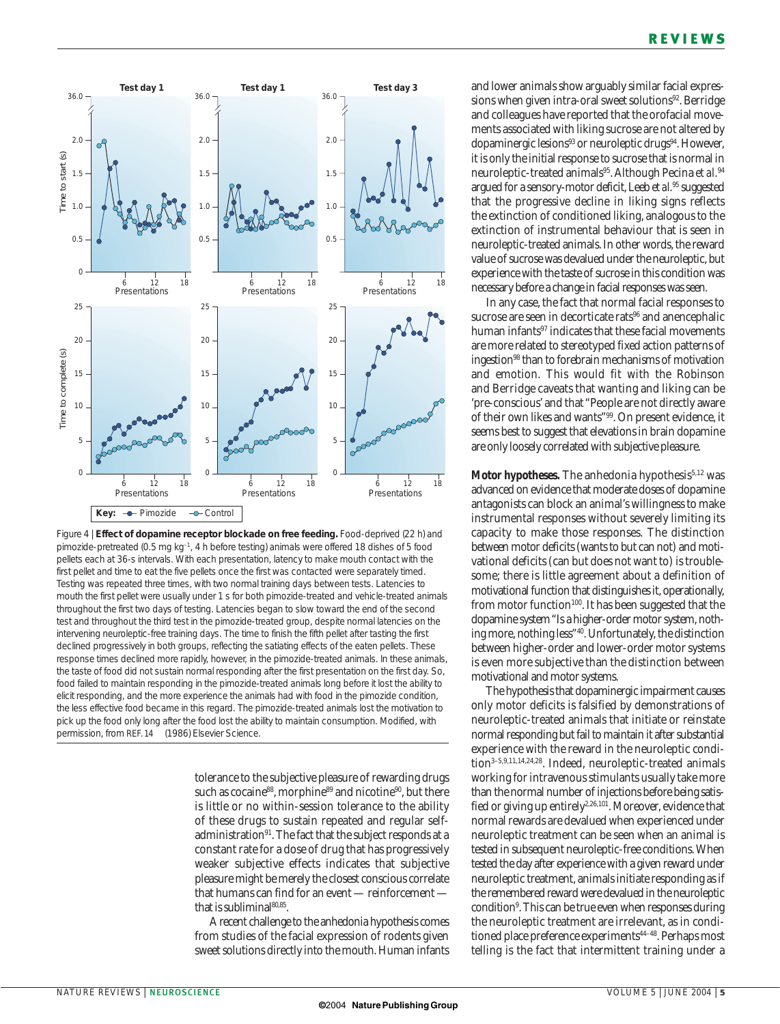

Figure 4 | **Effect of dopamine receptor blockade on free feeding.** Food-deprived (22 h) and pimozide-pretreated (0.5 mg kg–1, 4 h before testing) animals were offered 18 dishes of 5 food pellets each at 36-s intervals. With each presentation, latency to make mouth contact with the first pellet and time to eat the five pellets once the first was contacted were separately timed. Testing was repeated three times, with two normal training days between tests. Latencies to mouth the first pellet were usually under 1 s for both pimozide-treated and vehicle-treated animals throughout the first two days of testing. Latencies began to slow toward the end of the second test and throughout the third test in the pimozide-treated group, despite normal latencies on the intervening neuroleptic-free training days. The time to finish the fifth pellet after tasting the first declined progressively in both groups, reflecting the satiating effects of the eaten pellets. These response times declined more rapidly, however, in the pimozide-treated animals. In these animals, the taste of food did not sustain normal responding after the first presentation on the first day. So, food failed to maintain responding in the pimozide-treated animals long before it lost the ability to elicit responding, and the more experience the animals had with food in the pimozide condition, the less effective food became in this regard. The pimozide-treated animals lost the motivation to pick up the food only long after the food lost the ability to maintain consumption. Modified, with permission, from REF. 14 © (1986) Elsevier Science.

tolerance to the subjective pleasure of rewarding drugs such as cocaine<sup>88</sup>, morphine<sup>89</sup> and nicotine<sup>90</sup>, but there is little or no within-session tolerance to the ability of these drugs to sustain repeated and regular selfadministration<sup>91</sup>. The fact that the subject responds at a constant rate for a dose of drug that has progressively weaker subjective effects indicates that subjective pleasure might be merely the closest conscious correlate that humans can find for an event — reinforcement that is subliminal<sup>80,85</sup>.

A recent challenge to the anhedonia hypothesis comes from studies of the facial expression of rodents given sweet solutions directly into the mouth. Human infants and lower animals show arguably similar facial expressions when given intra-oral sweet solutions<sup>92</sup>. Berridge and colleagues have reported that the orofacial movements associated with liking sucrose are not altered by dopaminergic lesions<sup>93</sup> or neuroleptic drugs<sup>94</sup>. However, it is only the initial response to sucrose that is normal in neuroleptic-treated animals<sup>95</sup>. Although Pecina *et al.*<sup>94</sup> argued for a sensory-motor deficit, Leeb *et al.*<sup>95</sup> suggested that the progressive decline in liking signs reflects the extinction of conditioned liking, analogous to the extinction of instrumental behaviour that is seen in neuroleptic-treated animals. In other words, the reward value of sucrose was devalued under the neuroleptic, but experience with the taste of sucrose in this condition was necessary before a change in facial responses was seen.

In any case, the fact that normal facial responses to sucrose are seen in decorticate rats<sup>96</sup> and anencephalic human infants<sup>97</sup> indicates that these facial movements are more related to stereotyped fixed action patterns of ingestion98 than to forebrain mechanisms of motivation and emotion. This would fit with the Robinson and Berridge caveats that wanting and liking can be 'pre-conscious' and that "People are not directly aware of their own likes and wants"99. On present evidence, it seems best to suggest that elevations in brain dopamine are only loosely correlated with subjective pleasure.

*Motor hypotheses.* The anhedonia hypothesis<sup>5,12</sup> was advanced on evidence that moderate doses of dopamine antagonists can block an animal's willingness to make instrumental responses without severely limiting its capacity to make those responses. The distinction between motor deficits (wants to but can not) and motivational deficits (can but does not want to) is troublesome; there is little agreement about a definition of motivational function that distinguishes it, operationally, from motor function<sup>100</sup>. It has been suggested that the dopamine system "Is a higher-order motor system, nothing more, nothing less"40. Unfortunately, the distinction between higher-order and lower-order motor systems is even more subjective than the distinction between motivational and motor systems.

The hypothesis that dopaminergic impairment causes only motor deficits is falsified by demonstrations of neuroleptic-treated animals that initiate or reinstate normal responding but fail to maintain it after substantial experience with the reward in the neuroleptic condition3–5,9,11,14,24,28. Indeed, neuroleptic-treated animals working for intravenous stimulants usually take more than the normal number of injections before being satisfied or giving up entirely<sup>2,26,101</sup>. Moreover, evidence that normal rewards are devalued when experienced under neuroleptic treatment can be seen when an animal is tested in subsequent neuroleptic-free conditions.When tested the day after experience with a given reward under neuroleptic treatment, animals initiate responding as if the remembered reward were devalued in the neuroleptic condition9 . This can be true even when responses during the neuroleptic treatment are irrelevant, as in conditioned place preference experiments<sup>44-48</sup>. Perhaps most telling is the fact that intermittent training under a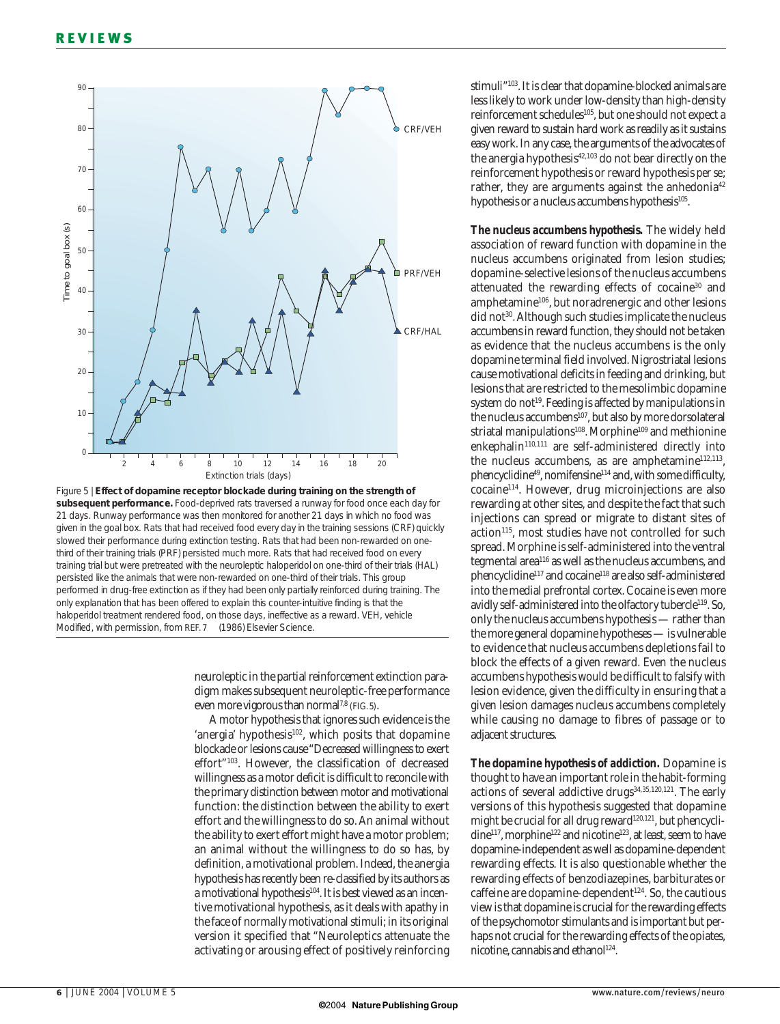

Figure 5 | **Effect of dopamine receptor blockade during training on the strength of subsequent performance.** Food-deprived rats traversed a runway for food once each day for 21 days. Runway performance was then monitored for another 21 days in which no food was given in the goal box. Rats that had received food every day in the training sessions (CRF) quickly slowed their performance during extinction testing. Rats that had been non-rewarded on onethird of their training trials (PRF) persisted much more. Rats that had received food on every training trial but were pretreated with the neuroleptic haloperidol on one-third of their trials (HAL) persisted like the animals that were non-rewarded on one-third of their trials. This group performed in drug-free extinction as if they had been only partially reinforced during training. The only explanation that has been offered to explain this counter-intuitive finding is that the haloperidol treatment rendered food, on those days, ineffective as a reward. VEH, vehicle Modified, with permission, from REF. 7 © (1986) Elsevier Science.

neuroleptic in the partial reinforcement extinction paradigm makes subsequent neuroleptic-free performance even more vigorous than normal<sup>7,8</sup> (FIG. 5).

A motor hypothesis that ignores such evidence is the 'anergia' hypothesis<sup>102</sup>, which posits that dopamine blockade or lesions cause "Decreased willingness to exert effort"103. However, the classification of decreased willingness as a motor deficit is difficult to reconcile with the primary distinction between motor and motivational function: the distinction between the ability to exert effort and the willingness to do so. An animal without the ability to exert effort might have a motor problem; an animal without the willingness to do so has, by definition, a motivational problem. Indeed, the anergia hypothesis has recently been re-classified by its authors as a motivational hypothesis<sup>104</sup>. It is best viewed as an incentive motivational hypothesis, as it deals with apathy in the face of normally motivational stimuli; in its original version it specified that "Neuroleptics attenuate the activating or arousing effect of positively reinforcing stimuli"103. It is clear that dopamine-blocked animals are less likely to work under low-density than high-density reinforcement schedules<sup>105</sup>, but one should not expect a given reward to sustain hard work as readily as it sustains easy work. In any case, the arguments of the advocates of the anergia hypothesis $42,103$  do not bear directly on the reinforcement hypothesis or reward hypothesis *per se*; rather, they are arguments against the anhedonia<sup>42</sup> hypothesis or a nucleus accumbens hypothesis<sup>105</sup>.

*The nucleus accumbens hypothesis.* The widely held association of reward function with dopamine in the nucleus accumbens originated from lesion studies; dopamine-selective lesions of the nucleus accumbens attenuated the rewarding effects of cocaine30 and amphetamine106, but noradrenergic and other lesions did not<sup>30</sup>. Although such studies implicate the nucleus accumbens in reward function, they should not be taken as evidence that the nucleus accumbens is the only dopamine terminal field involved. Nigrostriatal lesions cause motivational deficits in feeding and drinking, but lesions that are restricted to the mesolimbic dopamine system do not<sup>19</sup>. Feeding is affected by manipulations in the nucleus accumbens<sup>107</sup>, but also by more dorsolateral striatal manipulations<sup>108</sup>. Morphine<sup>109</sup> and methionine enkephalin<sup>110,111</sup> are self-administered directly into the nucleus accumbens, as are amphetamine $112,113$ , phencyclidine<sup>49</sup>, nomifensine<sup>114</sup> and, with some difficulty, cocaine114. However, drug microinjections are also rewarding at other sites, and despite the fact that such injections can spread or migrate to distant sites of action<sup>115</sup>, most studies have not controlled for such spread. Morphine is self-administered into the ventral tegmental area116 as well as the nucleus accumbens, and phencyclidine<sup>117</sup> and cocaine<sup>118</sup> are also self-administered into the medial prefrontal cortex. Cocaine is even more avidly self-administered into the olfactory tubercle<sup>119</sup>. So, only the nucleus accumbens hypothesis — rather than the more general dopamine hypotheses — is vulnerable to evidence that nucleus accumbens depletions fail to block the effects of a given reward. Even the nucleus accumbens hypothesis would be difficult to falsify with lesion evidence, given the difficulty in ensuring that a given lesion damages nucleus accumbens completely while causing no damage to fibres of passage or to adjacent structures.

*The dopamine hypothesis of addiction.* Dopamine is thought to have an important role in the habit-forming actions of several addictive drugs<sup>34,35,120,121</sup>. The early versions of this hypothesis suggested that dopamine might be crucial for all drug reward<sup>120,121</sup>, but phencyclidine<sup>117</sup>, morphine<sup>122</sup> and nicotine<sup>123</sup>, at least, seem to have dopamine-independent as well as dopamine-dependent rewarding effects. It is also questionable whether the rewarding effects of benzodiazepines, barbiturates or caffeine are dopamine-dependent<sup>124</sup>. So, the cautious view is that dopamine is crucial for the rewarding effects of the psychomotor stimulants and is important but perhaps not crucial for the rewarding effects of the opiates, nicotine, cannabis and ethanol<sup>124</sup>.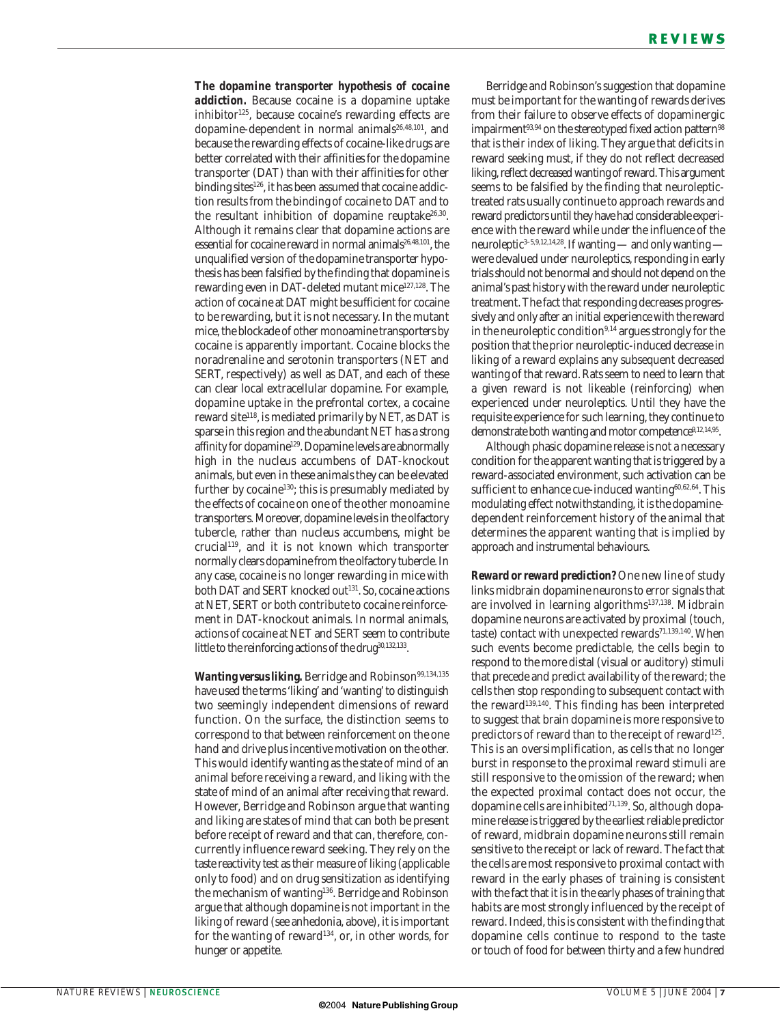*The dopamine transporter hypothesis of cocaine addiction.* Because cocaine is a dopamine uptake inhibitor<sup>125</sup>, because cocaine's rewarding effects are dopamine-dependent in normal animals<sup>26,48,101</sup>, and because the rewarding effects of cocaine-like drugs are better correlated with their affinities for the dopamine transporter (DAT) than with their affinities for other binding sites $126$ , it has been assumed that cocaine addiction results from the binding of cocaine to DAT and to the resultant inhibition of dopamine reuptake $26,30$ . Although it remains clear that dopamine actions are essential for cocaine reward in normal animals<sup>26,48,101</sup>, the unqualified version of the dopamine transporter hypothesis has been falsified by the finding that dopamine is rewarding even in DAT-deleted mutant mice<sup>127,128</sup>. The action of cocaine at DAT might be sufficient for cocaine to be rewarding, but it is not necessary. In the mutant mice, the blockade of other monoamine transporters by cocaine is apparently important. Cocaine blocks the noradrenaline and serotonin transporters (NET and SERT, respectively) as well as DAT, and each of these can clear local extracellular dopamine. For example, dopamine uptake in the prefrontal cortex, a cocaine reward site<sup>118</sup>, is mediated primarily by NET, as DAT is sparse in this region and the abundant NET has a strong affinity for dopamine129. Dopamine levels are abnormally high in the nucleus accumbens of DAT-knockout animals, but even in these animals they can be elevated further by cocaine<sup>130</sup>; this is presumably mediated by the effects of cocaine on one of the other monoamine transporters. Moreover, dopamine levels in the olfactory tubercle, rather than nucleus accumbens, might be crucial<sup>119</sup>, and it is not known which transporter normally clears dopamine from the olfactory tubercle. In any case, cocaine is no longer rewarding in mice with both DAT and SERT knocked out<sup>131</sup>. So, cocaine actions at NET, SERT or both contribute to cocaine reinforcement in DAT-knockout animals. In normal animals, actions of cocaine at NET and SERT seem to contribute little to the reinforcing actions of the drug<sup>30,132,133</sup>.

*Wanting versus liking.* Berridge and Robinson<sup>99,134,135</sup> have used the terms 'liking' and 'wanting' to distinguish two seemingly independent dimensions of reward function. On the surface, the distinction seems to correspond to that between reinforcement on the one hand and drive plus incentive motivation on the other. This would identify wanting as the state of mind of an animal before receiving a reward, and liking with the state of mind of an animal after receiving that reward. However, Berridge and Robinson argue that wanting and liking are states of mind that can both be present before receipt of reward and that can, therefore, concurrently influence reward seeking. They rely on the taste reactivity test as their measure of liking (applicable only to food) and on drug sensitization as identifying the mechanism of wanting<sup>136</sup>. Berridge and Robinson argue that although dopamine is not important in the liking of reward (see anhedonia, above), it is important for the wanting of reward<sup>134</sup>, or, in other words, for hunger or appetite.

Berridge and Robinson's suggestion that dopamine must be important for the wanting of rewards derives from their failure to observe effects of dopaminergic impairment $93,94$  on the stereotyped fixed action pattern $98$ that is their index of liking. They argue that deficits in reward seeking must, if they do not reflect decreased liking, reflect decreased wanting of reward. This argument seems to be falsified by the finding that neuroleptictreated rats usually continue to approach rewards and reward predictors until they have had considerable experience with the reward while under the influence of the neuroleptic<sup>3–5,9,12,14,28</sup>. If wanting — and only wanting were devalued under neuroleptics, responding in early trials should not be normal and should not depend on the animal's past history with the reward under neuroleptic treatment. The fact that responding decreases progressively and only after an initial experience with the reward in the neuroleptic condition<sup>9,14</sup> argues strongly for the position that the prior neuroleptic-induced decrease in liking of a reward explains any subsequent decreased wanting of that reward. Rats seem to need to learn that a given reward is not likeable (reinforcing) when experienced under neuroleptics. Until they have the requisite experience for such learning, they continue to demonstrate both wanting and motor competence<sup>9,12,14,95</sup>.

Although phasic dopamine release is not a necessary condition for the apparent wanting that is triggered by a reward-associated environment, such activation can be sufficient to enhance cue-induced wanting<sup>60,62,64</sup>. This modulating effect notwithstanding, it is the dopaminedependent reinforcement history of the animal that determines the apparent wanting that is implied by approach and instrumental behaviours.

*Reward or reward prediction?* One new line of study links midbrain dopamine neurons to error signals that are involved in learning algorithms<sup>137,138</sup>. Midbrain dopamine neurons are activated by proximal (touch, taste) contact with unexpected rewards<sup>71,139,140</sup>. When such events become predictable, the cells begin to respond to the more distal (visual or auditory) stimuli that precede and predict availability of the reward; the cells then stop responding to subsequent contact with the reward<sup>139,140</sup>. This finding has been interpreted to suggest that brain dopamine is more responsive to predictors of reward than to the receipt of reward<sup>125</sup>. This is an oversimplification, as cells that no longer burst in response to the proximal reward stimuli are still responsive to the omission of the reward; when the expected proximal contact does not occur, the dopamine cells are inhibited<sup>71,139</sup>. So, although dopamine release is triggered by the earliest reliable predictor of reward, midbrain dopamine neurons still remain sensitive to the receipt or lack of reward. The fact that the cells are most responsive to proximal contact with reward in the early phases of training is consistent with the fact that it is in the early phases of training that habits are most strongly influenced by the receipt of reward. Indeed, this is consistent with the finding that dopamine cells continue to respond to the taste or touch of food for between thirty and a few hundred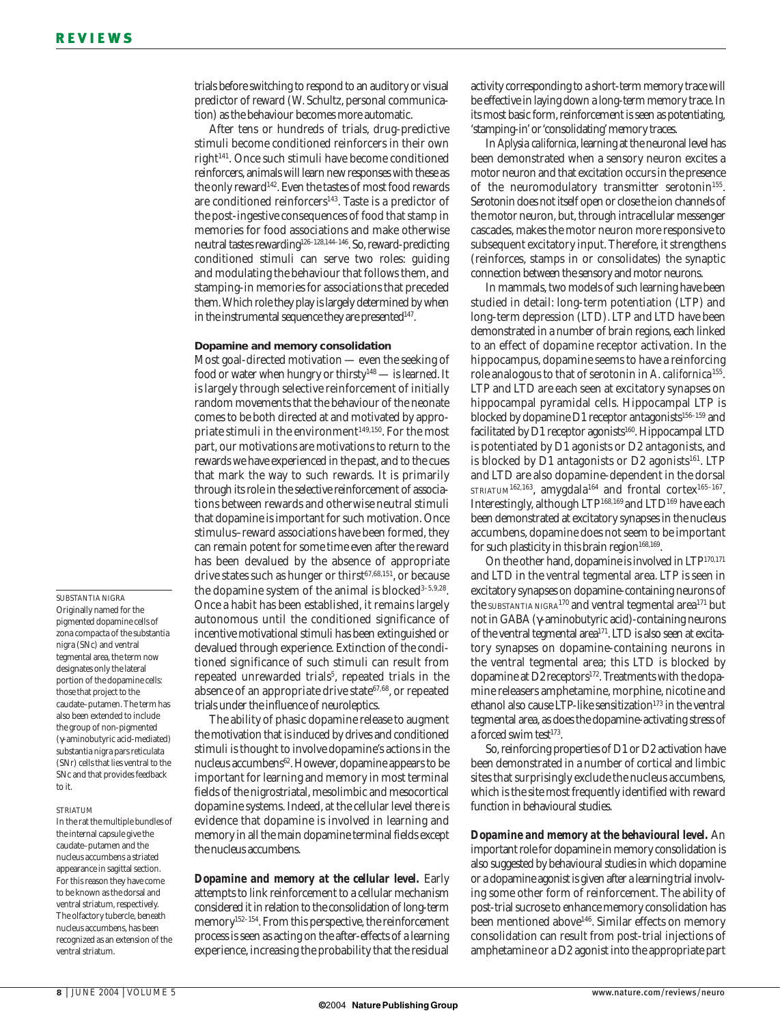trials before switching to respond to an auditory or visual predictor of reward (W. Schultz, personal communication) as the behaviour becomes more automatic.

After tens or hundreds of trials, drug-predictive stimuli become conditioned reinforcers in their own right<sup>141</sup>. Once such stimuli have become conditioned reinforcers, animals will learn new responses with these as the only reward<sup>142</sup>. Even the tastes of most food rewards are conditioned reinforcers<sup>143</sup>. Taste is a predictor of the post-ingestive consequences of food that stamp in memories for food associations and make otherwise neutral tastes rewarding126–128,144–146. So, reward-predicting conditioned stimuli can serve two roles: guiding and modulating the behaviour that follows them, and stamping-in memories for associations that preceded them.Which role they play is largely determined by when in the instrumental sequence they are presented $147$ .

#### **Dopamine and memory consolidation**

Most goal-directed motivation — even the seeking of food or water when hungry or thirsty<sup>148</sup> — is learned. It is largely through selective reinforcement of initially random movements that the behaviour of the neonate comes to be both directed at and motivated by appropriate stimuli in the environment $149,150$ . For the most part, our motivations are motivations to return to the rewards we have experienced in the past, and to the cues that mark the way to such rewards. It is primarily through its role in the selective reinforcement of associations between rewards and otherwise neutral stimuli that dopamine is important for such motivation. Once stimulus–reward associations have been formed, they can remain potent for some time even after the reward has been devalued by the absence of appropriate drive states such as hunger or thirst<sup>67,68,151</sup>, or because the dopamine system of the animal is blocked $3-5,9,28$ . Once a habit has been established, it remains largely autonomous until the conditioned significance of incentive motivational stimuli has been extinguished or devalued through experience. Extinction of the conditioned significance of such stimuli can result from repeated unrewarded trials<sup>5</sup>, repeated trials in the absence of an appropriate drive state<sup>67,68</sup>, or repeated

trials under the influence of neuroleptics. The ability of phasic dopamine release to augment the motivation that is induced by drives and conditioned stimuli is thought to involve dopamine's actions in the nucleus accumbens<sup>62</sup>. However, dopamine appears to be important for learning and memory in most terminal fields of the nigrostriatal, mesolimbic and mesocortical dopamine systems. Indeed, at the cellular level there is evidence that dopamine is involved in learning and memory in all the main dopamine terminal fields except the nucleus accumbens.

*Dopamine and memory at the cellular level.* Early attempts to link reinforcement to a cellular mechanism considered it in relation to the consolidation of long-term memory152–154. From this perspective, the reinforcement process is seen as acting on the after-effects of a learning experience, increasing the probability that the residual activity corresponding to a short-term memory trace will be effective in laying down a long-term memory trace. In its most basic form, reinforcement is seen as potentiating, 'stamping-in'or 'consolidating'memory traces.

In *Aplysia californica*, learning at the neuronal level has been demonstrated when a sensory neuron excites a motor neuron and that excitation occurs in the presence of the neuromodulatory transmitter serotonin<sup>155</sup>. Serotonin does not itself open or close the ion channels of the motor neuron, but, through intracellular messenger cascades, makes the motor neuron more responsive to subsequent excitatory input. Therefore, it strengthens (reinforces, stamps in or consolidates) the synaptic connection between the sensory and motor neurons.

In mammals, two models of such learning have been studied in detail: long-term potentiation (LTP) and long-term depression (LTD). LTP and LTD have been demonstrated in a number of brain regions, each linked to an effect of dopamine receptor activation. In the hippocampus, dopamine seems to have a reinforcing role analogous to that of serotonin in *A. californica*<sup>155</sup>*.* LTP and LTD are each seen at excitatory synapses on hippocampal pyramidal cells. Hippocampal LTP is blocked by dopamine D1 receptor antagonists<sup>156–159</sup> and facilitated by D1 receptor agonists<sup>160</sup>. Hippocampal LTD is potentiated by D1 agonists or D2 antagonists, and is blocked by D1 antagonists or D2 agonists<sup>161</sup>. LTP and LTD are also dopamine-dependent in the dorsal STRIATUM<sup>162,163</sup>, amygdala<sup>164</sup> and frontal cortex<sup>165-167</sup>. Interestingly, although LTP168,169 and LTD169 have each been demonstrated at excitatory synapses in the nucleus accumbens, dopamine does not seem to be important for such plasticity in this brain region $168,169$ .

On the other hand, dopamine is involved in LTP170,171 and LTD in the ventral tegmental area. LTP is seen in excitatory synapses on dopamine-containing neurons of the SUBSTANTIA NIGRA<sup>170</sup> and ventral tegmental area<sup>171</sup> but not in GABA (γ-aminobutyric acid)-containing neurons of the ventral tegmental area<sup>171</sup>. LTD is also seen at excitatory synapses on dopamine-containing neurons in the ventral tegmental area; this LTD is blocked by dopamine at D2 receptors<sup>172</sup>. Treatments with the dopamine releasers amphetamine, morphine, nicotine and ethanol also cause LTP-like sensitization $173$  in the ventral tegmental area, as does the dopamine-activating stress of a forced swim test $173$ .

So, reinforcing properties of D1 or D2 activation have been demonstrated in a number of cortical and limbic sites that surprisingly exclude the nucleus accumbens, which is the site most frequently identified with reward function in behavioural studies.

*Dopamine and memory at the behavioural level.* An important role for dopamine in memory consolidation is also suggested by behavioural studies in which dopamine or a dopamine agonist is given after a learning trial involving some other form of reinforcement. The ability of post-trial sucrose to enhance memory consolidation has been mentioned above<sup>146</sup>. Similar effects on memory consolidation can result from post-trial injections of amphetamine or a D2 agonist into the appropriate part

SUBSTANTIA NIGRA Originally named for the pigmented dopamine cells of zona compacta of the substantia nigra (SNc) and ventral tegmental area, the term now designates only the lateral portion of the dopamine cells: those that project to the caudate–putamen. The term has also been extended to include the group of non-pigmented (γ-aminobutyric acid-mediated) substantia nigra pars reticulata (SNr) cells that lies ventral to the SNc and that provides feedback to it.

#### STRIATUM

In the rat the multiple bundles of the internal capsule give the caudate–putamen and the nucleus accumbens a striated appearance in sagittal section. For this reason they have come to be known as the dorsal and ventral striatum, respectively. The olfactory tubercle, beneath nucleus accumbens, has been recognized as an extension of the ventral striatum.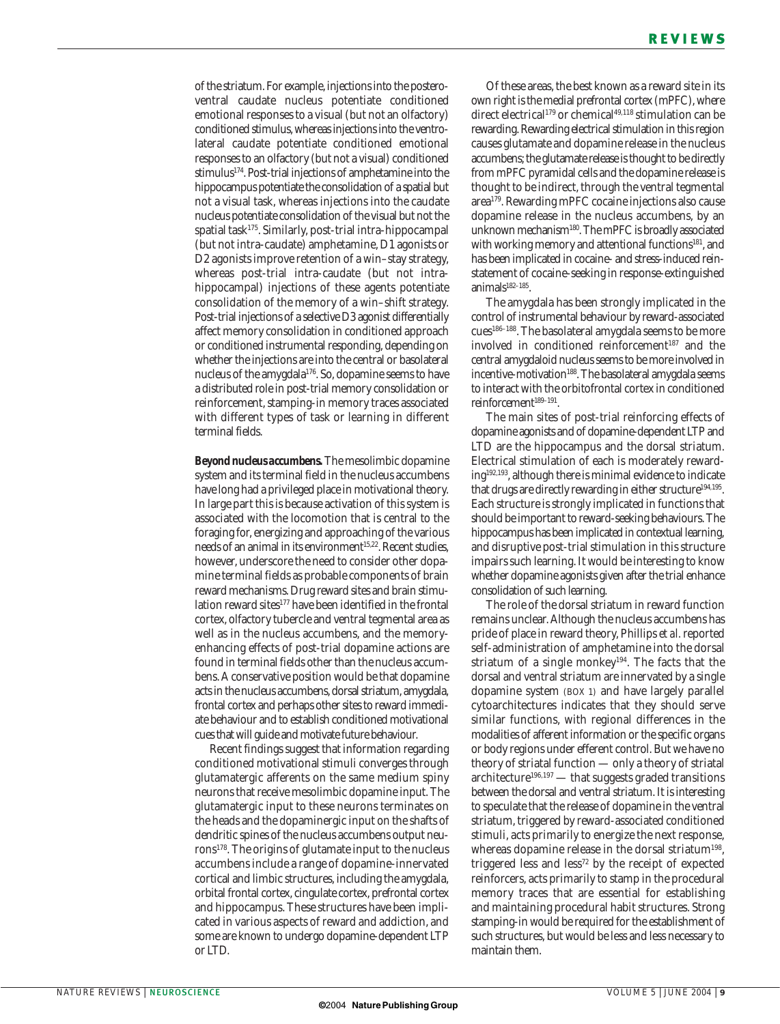of the striatum. For example, injections into the posteroventral caudate nucleus potentiate conditioned emotional responses to a visual (but not an olfactory) conditioned stimulus, whereas injections into the ventrolateral caudate potentiate conditioned emotional responses to an olfactory (but not a visual) conditioned stimulus<sup>174</sup>. Post-trial injections of amphetamine into the hippocampus potentiate the consolidation of a spatial but not a visual task, whereas injections into the caudate nucleus potentiate consolidation of the visual but not the spatial task<sup>175</sup>. Similarly, post-trial intra-hippocampal (but not intra-caudate) amphetamine, D1 agonists or D2 agonists improve retention of a win–stay strategy, whereas post-trial intra-caudate (but not intrahippocampal) injections of these agents potentiate consolidation of the memory of a win–shift strategy. Post-trial injections of a selective D3 agonist differentially affect memory consolidation in conditioned approach or conditioned instrumental responding, depending on whether the injections are into the central or basolateral nucleus of the amygdala<sup>176</sup>. So, dopamine seems to have a distributed role in post-trial memory consolidation or reinforcement, stamping-in memory traces associated with different types of task or learning in different terminal fields.

*Beyond nucleus accumbens.* The mesolimbic dopamine system and its terminal field in the nucleus accumbens have long had a privileged place in motivational theory. In large part this is because activation of this system is associated with the locomotion that is central to the foraging for, energizing and approaching of the various needs of an animal in its environment<sup>15,22</sup>. Recent studies, however, underscore the need to consider other dopamine terminal fields as probable components of brain reward mechanisms. Drug reward sites and brain stimulation reward sites<sup>177</sup> have been identified in the frontal cortex, olfactory tubercle and ventral tegmental area as well as in the nucleus accumbens, and the memoryenhancing effects of post-trial dopamine actions are found in terminal fields other than the nucleus accumbens. A conservative position would be that dopamine acts in the nucleus accumbens, dorsal striatum, amygdala, frontal cortex and perhaps other sites to reward immediate behaviour and to establish conditioned motivational cues that will guide and motivate future behaviour.

Recent findings suggest that information regarding conditioned motivational stimuli converges through glutamatergic afferents on the same medium spiny neurons that receive mesolimbic dopamine input. The glutamatergic input to these neurons terminates on the heads and the dopaminergic input on the shafts of dendritic spines of the nucleus accumbens output neurons178. The origins of glutamate input to the nucleus accumbens include a range of dopamine-innervated cortical and limbic structures, including the amygdala, orbital frontal cortex, cingulate cortex, prefrontal cortex and hippocampus. These structures have been implicated in various aspects of reward and addiction, and some are known to undergo dopamine-dependent LTP or LTD.

Of these areas, the best known as a reward site in its own right is the medial prefrontal cortex (mPFC), where direct electrical<sup>179</sup> or chemical<sup>49,118</sup> stimulation can be rewarding. Rewarding electrical stimulation in this region causes glutamate and dopamine release in the nucleus accumbens; the glutamate release is thought to be directly from mPFC pyramidal cells and the dopamine release is thought to be indirect, through the ventral tegmental area179. Rewarding mPFC cocaine injections also cause dopamine release in the nucleus accumbens, by an unknown mechanism<sup>180</sup>. The mPFC is broadly associated with working memory and attentional functions<sup>181</sup>, and has been implicated in cocaine- and stress-induced reinstatement of cocaine-seeking in response-extinguished  $animals<sup>182-185</sup>$ .

The amygdala has been strongly implicated in the control of instrumental behaviour by reward-associated cues186–188. The basolateral amygdala seems to be more involved in conditioned reinforcement<sup>187</sup> and the central amygdaloid nucleus seems to be more involved in incentive-motivation<sup>188</sup>. The basolateral amygdala seems to interact with the orbitofrontal cortex in conditioned reinforcement<sup>189-191</sup>.

The main sites of post-trial reinforcing effects of dopamine agonists and of dopamine-dependent LTP and LTD are the hippocampus and the dorsal striatum. Electrical stimulation of each is moderately rewarding192,193, although there is minimal evidence to indicate that drugs are directly rewarding in either structure<sup>194,195</sup>. Each structure is strongly implicated in functions that should be important to reward-seeking behaviours. The hippocampus has been implicated in contextual learning, and disruptive post-trial stimulation in this structure impairs such learning. It would be interesting to know whether dopamine agonists given after the trial enhance consolidation of such learning.

The role of the dorsal striatum in reward function remains unclear. Although the nucleus accumbens has pride of place in reward theory, Phillips *et al.*reported self-administration of amphetamine into the dorsal striatum of a single monkey194. The facts that the dorsal and ventral striatum are innervated by a single dopamine system (BOX 1) and have largely parallel cytoarchitectures indicates that they should serve similar functions, with regional differences in the modalities of afferent information or the specific organs or body regions under efferent control. But we have no theory of striatal function — only a theory of striatal architecture<sup>196,197</sup> — that suggests graded transitions between the dorsal and ventral striatum. It is interesting to speculate that the release of dopamine in the ventral striatum, triggered by reward-associated conditioned stimuli, acts primarily to energize the next response, whereas dopamine release in the dorsal striatum<sup>198</sup>. triggered less and less<sup>72</sup> by the receipt of expected reinforcers, acts primarily to stamp in the procedural memory traces that are essential for establishing and maintaining procedural habit structures. Strong stamping-in would be required for the establishment of such structures, but would be less and less necessary to maintain them.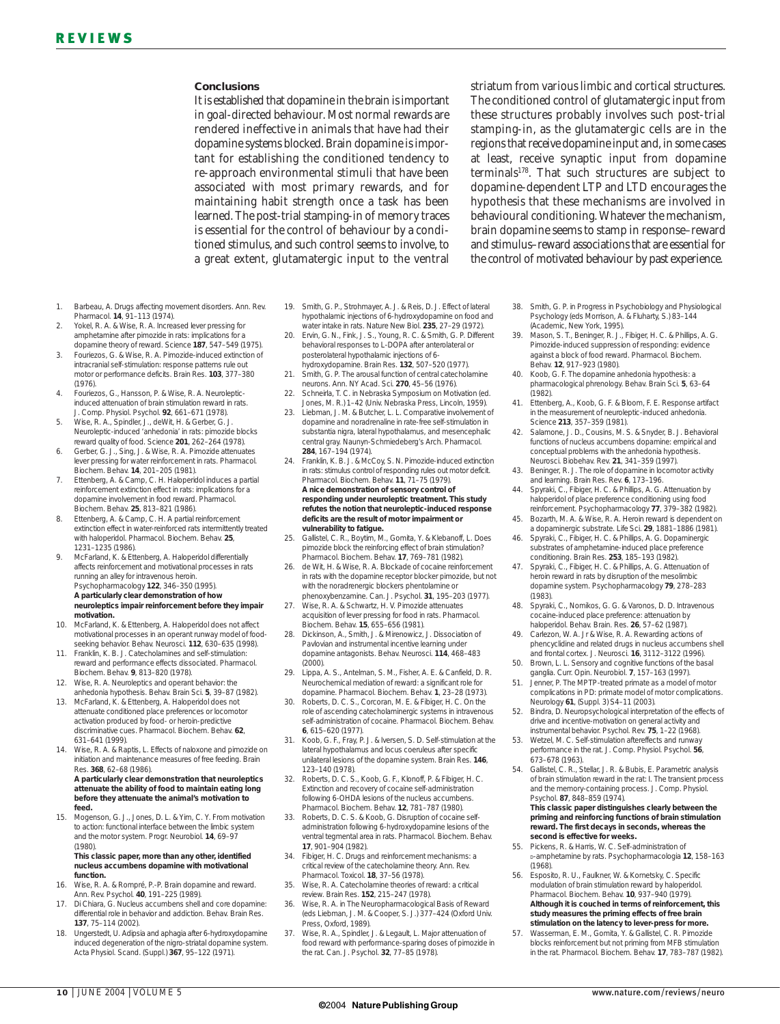#### **Conclusions**

It is established that dopamine in the brain is important in goal-directed behaviour. Most normal rewards are rendered ineffective in animals that have had their dopamine systems blocked. Brain dopamine is important for establishing the conditioned tendency to re-approach environmental stimuli that have been associated with most primary rewards, and for maintaining habit strength once a task has been learned. The post-trial stamping-in of memory traces is essential for the control of behaviour by a conditioned stimulus, and such control seems to involve, to a great extent, glutamatergic input to the ventral striatum from various limbic and cortical structures. The conditioned control of glutamatergic input from these structures probably involves such post-trial stamping-in, as the glutamatergic cells are in the regions that receive dopamine input and, in some cases at least, receive synaptic input from dopamine terminals<sup>178</sup>. That such structures are subject to dopamine-dependent LTP and LTD encourages the hypothesis that these mechanisms are involved in behavioural conditioning. Whatever the mechanism, brain dopamine seems to stamp in response–reward and stimulus–reward associations that are essential for the control of motivated behaviour by past experience.

- 1. Barbeau, A. Drugs affecting movement disorders. *Ann. Rev. Pharmacol.* **14**, 91–113 (1974).
- 2. Yokel, R. A. & Wise, R. A. Increased lever pressing for amphetamine after pimozide in rats: implications for a dopamine theory of reward. *Science* **187**, 547–549 (1975). 3. Fouriezos, G. & Wise, R. A. Pimozide-induced extinction of
- intracranial self-stimulation: response patterns rule out motor or performance deficits. *Brain Res.* **103**, 377–380 (1976).
- 4. Fouriezos, G., Hansson, P. & Wise, R. A. Neurolepticinduced attenuation of brain stimulation reward in rats. *J. Comp. Physiol. Psychol.* **92**, 661–671 (1978).
- 5. Wise, R. A., Spindler, J., deWit, H. & Gerber, G. J. Neuroleptic-induced 'anhedonia' in rats: pimozide blocks reward quality of food. *Science* **201**, 262–264 (1978).
- 6. Gerber, G. J., Sing, J. & Wise, R. A. Pimozide attenuates lever pressing for water reinforcement in rats. *Pharmacol. Biochem. Behav.* **14**, 201–205 (1981).
- 7. Ettenberg, A. & Camp, C. H. Haloperidol induces a partial reinforcement extinction effect in rats: implications for a dopamine involvement in food reward. *Pharmacol. Biochem. Behav.* **25**, 813–821 (1986).
- 8. Ettenberg, A. & Camp, C. H. A partial reinforcement extinction effect in water-reinforced rats intermittently treated with haloperidol. *Pharmacol. Biochem. Behav.* **25**, 1231–1235 (1986).
- McFarland, K. & Ettenberg, A. Haloperidol differentially affects reinforcement and motivational processes in rats running an alley for intravenous heroin. *Psychopharmacology* **122**, 346–350 (1995). **A particularly clear demonstration of how neuroleptics impair reinforcement before they impair motivation.**
- 10. McFarland, K. & Ettenberg, A. Haloperidol does not affect motivational processes in an operant runway model of foodseeking behavior. *Behav. Neurosci.* **112**, 630–635 (1998).
- 11. Franklin, K. B. J. Catecholamines and self-stimulation: reward and performance effects dissociated. *Pharmacol. Biochem. Behav.* **9**, 813–820 (1978).
- 12. Wise, R. A. Neuroleptics and operant behavior: the anhedonia hypothesis. *Behav. Brain Sci.* **5**, 39–87 (1982).
- 13. McFarland, K. & Ettenberg, A. Haloperidol does not attenuate conditioned place preferences or locomotor activation produced by food- or heroin-predictive discriminative cues. *Pharmacol. Biochem. Behav.* **62**, 631–641 (1999).
- 14. Wise, R. A. & Raptis, L. Effects of naloxone and pimozide on initiation and maintenance measures of free feeding. *Brain Res.* **368**, 62–68 (1986). **A particularly clear demonstration that neuroleptics attenuate the ability of food to maintain eating long**
- **before they attenuate the animal's motivation to feed.** 15. Mogenson, G. J., Jones, D. L. & Yim, C. Y. From motivation to action: functional interface between the limbic system and the motor system. *Progr. Neurobiol.* **14**, 69–97

#### (1980). **This classic paper, more than any other, identified nucleus accumbens dopamine with motivational function.**

- 16. Wise, R. A. & Rompré, P.-P. Brain dopamine and reward. *Ann. Rev. Psychol.* **40**, 191–225 (1989).
- 17. Di Chiara, G. Nucleus accumbens shell and core dopamine: differential role in behavior and addiction. *Behav. Brain Res.* **137**, 75–114 (2002).
- 18. Ungerstedt, U. Adipsia and aphagia after 6-hydroxydopamine induced degeneration of the nigro-striatal dopamine system. *Acta Physiol. Scand.* (Suppl.) **367**, 95–122 (1971).
- 19. Smith, G. P., Strohmayer, A. J. & Reis, D. J. Effect of lateral hypothalamic injections of 6-hydroxydopamine on food and water intake in rats. *Nature New Biol.* **235**, 27–29 (1972).
- 20. Ervin, G. N., Fink, J. S., Young, R. C. & Smith, G. P. Different behavioral responses to L-DOPA after anterolateral or posterolateral hypothalamic injections of 6 hydroxydopamine. *Brain Res.* **132**, 507–520 (1977).
- 21. Smith, G. P. The arousal function of central catecholamine neurons. *Ann. NY Acad. Sci.* **270**, 45–56 (1976).
- 22. Schneirla, T. C. in *Nebraska Symposium on Motivation* (ed. Jones, M. R.) 1–42 (Univ. Nebraska Press, Lincoln, 1959).
- 23. Liebman, J. M. & Butcher, L. L. Comparative involvement of dopamine and noradrenaline in rate-free self-stimulation in substantia nigra, lateral hypothalamus, and mesencephalic central gray. *Naunyn-Schmiedeberg's Arch. Pharmacol.* **284**, 167–194 (1974).
- 24. Franklin, K. B. J. & McCoy, S. N. Pimozide-induced extinction in rats: stimulus control of responding rules out motor deficit. *Pharmacol. Biochem. Behav.* **11**, 71–75 (1979). **A nice demonstration of sensory control of responding under neuroleptic treatment. This study refutes the notion that neuroleptic-induced response deficits are the result of motor impairment or vulnerability to fatigue.**
- 25. Gallistel, C. R., Boytim, M., Gomita, Y. & Klebanoff, L. Does pimozide block the reinforcing effect of brain stimulation? *Pharmacol. Biochem. Behav.* **17**, 769–781 (1982).
- 26. de Wit, H. & Wise, R. A. Blockade of cocaine reinforcement in rats with the dopamine receptor blocker pimozide, but not with the noradrenergic blockers phentolamine or phenoxybenzamine. *Can. J. Psychol.* **31**, 195–203 (1977).
- 27. Wise, R. A. & Schwartz, H. V. Pimozide attenuates acquisition of lever pressing for food in rats. *Pharmacol. Biochem. Behav.* **15**, 655–656 (1981).
- 28. Dickinson, A., Smith, J. & Mirenowicz, J. Dissociation of Pavlovian and instrumental incentive learning under dopamine antagonists. *Behav. Neurosci.* **114**, 468–483 (2000).
- Lippa, A. S., Antelman, S. M., Fisher, A. E. & Canfield, D. R. Neurochemical mediation of reward: a significant role for dopamine. *Pharmacol. Biochem. Behav.* **1**, 23–28 (1973).
- 30. Roberts, D. C. S., Corcoran, M. E. & Fibiger, H. C. On the role of ascending catecholaminergic systems in intravenous self-administration of cocaine. *Pharmacol. Biochem. Behav.* **6**, 615–620 (1977).
- 31. Koob, G. F., Fray, P. J. & Iversen, S. D. Self-stimulation at the lateral hypothalamus and locus coeruleus after specific unilateral lesions of the dopamine system. *Brain Res.* **146**, 123–140 (1978).
- 32. Roberts, D. C. S., Koob, G. F., Klonoff, P. & Fibiger, H. C. Extinction and recovery of cocaine self-administration following 6-OHDA lesions of the nucleus accumbens. *Pharmacol. Biochem. Behav.* **12**, 781–787 (1980).
- 33. Roberts, D. C. S. & Koob, G. Disruption of cocaine selfadministration following 6-hydroxydopamine lesions of the ventral tegmental area in rats. *Pharmacol. Biochem. Behav.* **17**, 901–904 (1982).
- 34. Fibiger, H. C. Drugs and reinforcement mechanisms: a critical review of the catecholamine theory. *Ann. Rev. Pharmacol. Toxicol.* **18**, 37–56 (1978).
- 35. Wise, R. A. Catecholamine theories of reward: a critical review. *Brain Res.* **152**, 215–247 (1978).
- 36. Wise, R. A. in *The Neuropharmacological Basis of Reward* (eds Liebman, J. M. & Cooper, S. J.) 377–424 (Oxford Univ.
- Press, Oxford, 1989). 37. Wise, R. A., Spindler, J. & Legault, L. Major attenuation of food reward with performance-sparing doses of pimozide in the rat. *Can. J. Psychol.* **32**, 77–85 (1978).
- 38. Smith, G. P. in *Progress in Psychobiology and Physiological Psychology* (eds Morrison, A. & Fluharty, S.) 83–144 (Academic, New York, 1995).
- 39. Mason, S. T., Beninger, R. J., Fibiger, H. C. & Phillips, A. G. Pimozide-induced suppression of responding: evidence against a block of food reward. *Pharmacol. Biochem. Behav.* **12**, 917–923 (1980).
- 40. Koob, G. F. The dopamine anhedonia hypothesis: a pharmacological phrenology. *Behav. Brain Sci.* **5**, 63–64 (1982).
- 41. Ettenberg, A., Koob, G. F. & Bloom, F. E. Response artifact in the measurement of neuroleptic-induced anhedonia. *Science* **213**, 357–359 (1981).
- 42. Salamone, J. D., Cousins, M. S. & Snyder, B. J. Behavioral functions of nucleus accumbens dopamine: empirical and conceptual problems with the anhedonia hypothesis. *Neurosci. Biobehav. Rev.* **21**, 341–359 (1997).
- 43. Beninger, R. J. The role of dopamine in locomotor activity and learning. *Brain Res. Rev.* **6**, 173–196.
- 44. Spyraki, C., Fibiger, H. C. & Phillips, A. G. Attenuation by haloperidol of place preference conditioning using food reinforcement. *Psychopharmacology* **77**, 379–382 (1982). 45. Bozarth, M. A. & Wise, R. A. Heroin reward is dependent on
- a dopaminergic substrate. *Life Sci.* **29**, 1881–1886 (1981).
- 46. Spyraki, C., Fibiger, H. C. & Phillips, A. G. Dopaminergic substrates of amphetamine-induced place preference
- conditioning. *Brain Res.* **253**, 185–193 (1982). 47. Spyraki, C., Fibiger, H. C. & Phillips, A. G. Attenuation of heroin reward in rats by disruption of the mesolimbic dopamine system. *Psychopharmacology* **79**, 278–283 (1983).
- 48. Spyraki, C., Nomikos, G. G. & Varonos, D. D. Intravenous cocaine-induced place preference: attenuation by haloperidol. *Behav. Brain. Res.* **26**, 57–62 (1987).
- Carlezon, W. A. Jr & Wise, R. A. Rewarding actions of phencyclidine and related drugs in nucleus accumbens shell and frontal cortex. *J. Neurosci.* **16**, 3112–3122 (1996).
- 50. Brown, L. L. Sensory and cognitive functions of the basal ganglia. *Curr. Opin. Neurobiol.* **7**, 157–163 (1997).
- Jenner, P. The MPTP-treated primate as a model of motor complications in PD: primate model of motor complications. *Neurology* **61**, (Suppl. 3) S4–11 (2003).
- 52. Bindra, D. Neuropsychological interpretation of the effects of drive and incentive-motivation on general activity and instrumental behavior. *Psychol. Rev.* **75**, 1–22 (1968).
- 53. Wetzel, M. C. Self-stimulation aftereffects and runway performance in the rat. *J. Comp. Physiol. Psychol.* **56**, 673–678 (1963).
- 54. Gallistel, C. R., Stellar, J. R. & Bubis, E. Parametric analysis of brain stimulation reward in the rat: I. The transient process and the memory-containing process. *J. Comp. Physiol. Psychol.* **87**, 848–859 (1974). **This classic paper distinguishes clearly between the**
	- **priming and reinforcing functions of brain stimulation reward. The first decays in seconds, whereas the second is effective for weeks.**
- 55. Pickens, R. & Harris, W. C. Self-administration of D-amphetamine by rats. *Psychopharmacologia* **12**, 158–163 (1968).
- 56. Esposito, R. U., Faulkner, W. & Kornetsky, C. Specific modulation of brain stimulation reward by haloperidol. *Pharmacol. Biochem. Behav.* **10**, 937–940 (1979). **Although it is couched in terms of reinforcement, this study measures the priming effects of free brain**
- **stimulation on the latency to lever-press for more.** 57. Wasserman, E. M., Gomita, Y. & Gallistel, C. R. Pimozide blocks reinforcement but not priming from MFB stimulation in the rat. *Pharmacol. Biochem. Behav.* **17**, 783–787 (1982).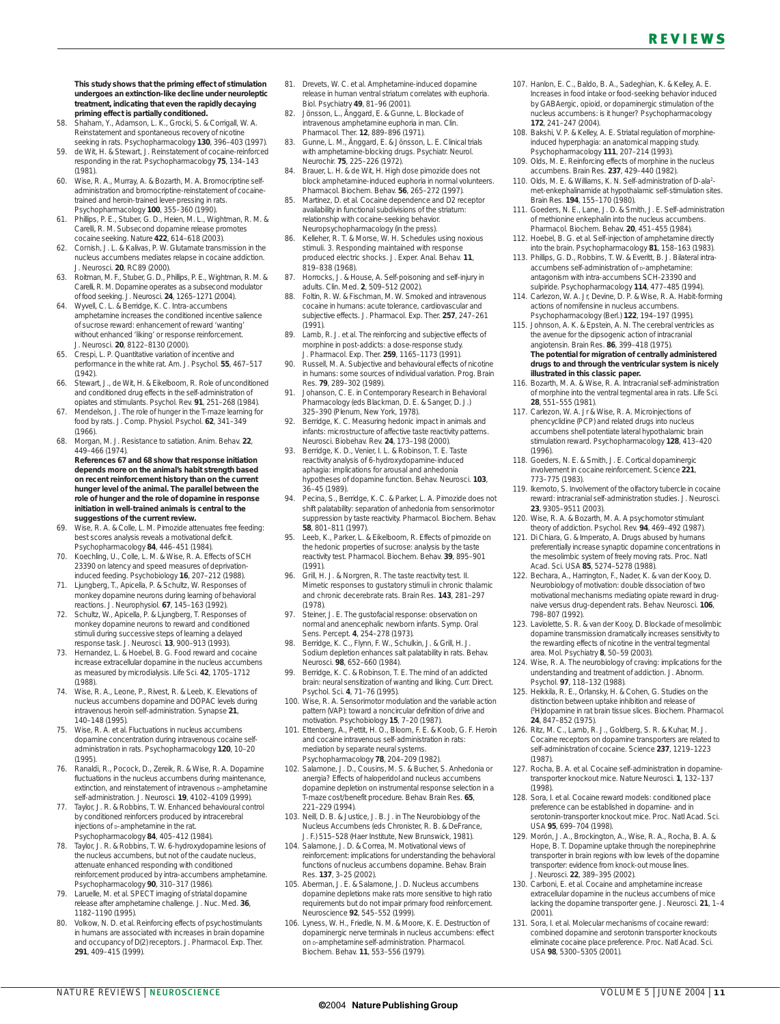**This study shows that the priming effect of stimulation undergoes an extinction-like decline under neuroleptic treatment, indicating that even the rapidly decaying priming effect is partially conditioned.**

- 58. Shaham, Y., Adamson, L. K., Grocki, S. & Corrigall, W. A. Reinstatement and spontaneous recovery of nicotine seeking in rats. *Psychopharmacology* **130**, 396–403 (1997).
- 59. de Wit, H. & Stewart, J. Reinstatement of cocaine-reinforced responding in the rat. *Psychopharmacology* **75**, 134–143 (1981).
- 60. Wise, R. A., Murray, A. & Bozarth, M. A. Bromocriptine selfadministration and bromocriptine-reinstatement of cocainetrained and heroin-trained lever-pressing in rats.
- *Psychopharmacology* **100**, 355–360 (1990). 61. Phillips, P. E., Stuber, G. D., Heien, M. L., Wightman, R. M. & Carelli, R. M. Subsecond dopamine release promotes cocaine seeking. *Nature* **422**, 614–618 (2003).
- 62. Cornish, J. L. & Kalivas, P. W. Glutamate transmission in the nucleus accumbens mediates relapse in cocaine addiction. *J. Neurosci.* **20**, RC89 (2000).
- 63. Roitman, M. F., Stuber, G. D., Phillips, P. E., Wightman, R. M. & Carelli, R. M. Dopamine operates as a subsecond modulator of food seeking. *J. Neurosci.* **24**, 1265–1271 (2004).
- 64. Wyvell, C. L. & Berridge, K. C. Intra-accumbens amphetamine increases the conditioned incentive salience of sucrose reward: enhancement of reward 'wanting' without enhanced 'liking' or response reinforcement. *J. Neurosci.* **20**, 8122–8130 (2000).
- 65. Crespi, L. P. Quantitative variation of incentive and performance in the white rat. *Am. J. Psychol.* **55**, 467–517  $(1942)$
- 66. Stewart, J., de Wit, H. & Eikelboom, R. Role of unconditioned and conditioned drug effects in the self-administration of opiates and stimulants. *Psychol. Rev.* **91**, 251–268 (1984).
- 67. Mendelson, J. The role of hunger in the T-maze learning for food by rats. *J. Comp. Physiol. Psychol.* **62**, 341–349  $(1966)$
- 68. Morgan, M. J. Resistance to satiation. *Anim. Behav.* **22**, 449–466 (1974).

**References 67 and 68 show that response initiation depends more on the animal's habit strength based on recent reinforcement history than on the current hunger level of the animal. The parallel between the role of hunger and the role of dopamine in response initiation in well-trained animals is central to the suggestions of the current review.**

- 69. Wise, R. A. & Colle, L. M. Pimozide attenuates free feeding: best scores analysis reveals a motivational deficit. *Psychopharmacology* **84**, 446–451 (1984).
- 70. Koechling, U., Colle, L. M. & Wise, R. A. Effects of SCH 23390 on latency and speed measures of deprivationinduced feeding. *Psychobiology* **16**, 207–212 (1988).
- 71. Ljungberg, T., Apicella, P. & Schultz, W. Responses of monkey dopamine neurons during learning of behavioral reactions. *J. Neurophysiol.* **67**, 145–163 (1992).
- 72. Schultz, W., Apicella, P. & Ljungberg, T. Responses of monkey dopamine neurons to reward and conditioned stimuli during successive steps of learning a delayed response task. *J. Neurosci.* **13**, 900–913 (1993).
- 73. Hernandez, L. & Hoebel, B. G. Food reward and cocaine increase extracellular dopamine in the nucleus accumbens as measured by microdialysis. *Life Sci.* **42**, 1705–1712 (1988).
- 74. Wise, R. A., Leone, P., Rivest, R. & Leeb, K. Elevations of nucleus accumbens dopamine and DOPAC levels during intravenous heroin self-administration. *Synapse* **21**, 140–148 (1995).
- 75. Wise, R. A. *et al.* Fluctuations in nucleus accumbens dopamine concentration during intravenous cocaine selfadministration in rats. *Psychopharmacology* **120**, 10–20 (1995).
- 76. Ranaldi, R., Pocock, D., Zereik, R. & Wise, R. A. Dopamine fluctuations in the nucleus accumbens during maintenance, extinction, and reinstatement of intravenous D-amphetamine self-administration. *J. Neurosci.* **19**, 4102–4109 (1999).
- 77. Taylor, J. R. & Robbins, T. W. Enhanced behavioural control by conditioned reinforcers produced by intracerebral injections of <sub>D</sub>-amphetamine in the rat. *Psychopharmacology* **84**, 405–412 (1984).
- 78. Taylor, J. R. & Robbins, T. W. 6-hydroxydopamine lesions of the nucleus accumbens, but not of the caudate nucleus, attenuate enhanced responding with conditioned reinforcement produced by intra-accumbens amphetamine. *Psychopharmacology* **90**, 310–317 (1986).
- 79. Laruelle, M. *et al.* SPECT imaging of striatal dopamine release after amphetamine challenge. *J. Nuc. Med.* **36**, 1182–1190 (1995).
- 80. Volkow, N. D. *et al.* Reinforcing effects of psychostimulants in humans are associated with increases in brain dopamine and occupancy of D(2) receptors. *J. Pharmacol. Exp. Ther.* **291**, 409–415 (1999).
- 81. Drevets, W. C. *et al.* Amphetamine-induced dopamine release in human ventral striatum correlates with euphoria.
- *Biol. Psychiatry* **49**, 81–96 (2001). 82. Jönsson, L., Änggard, E. & Gunne, L. Blockade of intravenous amphetamine euphoria in man. *Clin. Pharmacol. Ther.* **12**, 889–896 (1971).
- Gunne, L. M., Änggard, E. & Jönsson, L. E. Clinical trials with amphetamine-blocking drugs. *Psychiatr. Neurol. Neurochir.* **75**, 225–226 (1972).
- Brauer, L. H. & de Wit, H. High dose pimozide does not block amphetamine-induced euphoria in normal volunteers. *Pharmacol. Biochem. Behav.* **56**, 265–272 (1997).
- 85. Martinez, D. *et al.* Cocaine dependence and D2 receptor availability in functional subdivisions of the striatum: relationship with cocaine-seeking behavior. *Neuropsychopharmacology* (in the press).
- Kelleher, R. T. & Morse, W. H. Schedules using noxious stimuli. 3. Responding maintained with response produced electric shocks. *J. Exper. Anal. Behav.* **11**, 819–838 (1968).
- 87. Horrocks, J. & House, A. Self-poisoning and self-injury in adults. *Clin. Med.* **2**, 509–512 (2002).
- 88. Foltin, R. W. & Fischman, M. W. Smoked and intravenous cocaine in humans: acute tolerance, cardiovascular and subjective effects. *J. Pharmacol. Exp. Ther.* **257**, 247–261  $(1991)$
- Lamb, R. J. *et al.* The reinforcing and subjective effects of morphine in post-addicts: a dose-response study. *J. Pharmacol. Exp. Ther.* **259**, 1165–1173 (1991).
- 90. Russell, M. A. Subjective and behavioural effects of nicotine in humans: some sources of individual variation. *Prog. Brain Res.* **79**, 289–302 (1989).
- 91. Johanson, C. E. in *Contemporary Research in Behavioral Pharmacology* (eds Blackman, D. E. & Sanger, D. J.) 325–390 (Plenum, New York, 1978).
- 92. Berridge, K. C. Measuring hedonic impact in animals and infants: microstructure of affective taste reactivity patterns. *Neurosci. Biobehav. Rev.* **24**, 173–198 (2000).
- 93. Berridge, K. D., Venier, I. L. & Robinson, T. E. Taste reactivity analysis of 6-hydroxydopamine-induced aphagia: implications for arousal and anhedonia hypotheses of dopamine function. *Behav. Neurosci.* **103**, 36–45 (1989).
- Pecina, S., Berridge, K. C. & Parker, L. A. Pimozide does not shift palatability: separation of anhedonia from sensorimotor suppression by taste reactivity. *Pharmacol. Biochem. Behav.* **58**, 801–811 (1997).
- 95. Leeb, K., Parker, L. & Eikelboom, R. Effects of pimozide on the hedonic properties of sucrose: analysis by the taste reactivity test. *Pharmacol. Biochem. Behav.* **39**, 895–901 (1991).
- Grill, H. J. & Norgren, R. The taste reactivity test. II. Mimetic responses to gustatory stimuli in chronic thalamic and chronic decerebrate rats. *Brain Res.* **143**, 281–297 (1978).
- 97. Steiner, J. E. The gustofacial response: observation on normal and anencephalic newborn infants. *Symp. Oral Sens. Percept.* **4**, 254–278 (1973).
- 98. Berridge, K. C., Flynn, F. W., Schulkin, J. & Grill, H. J. Sodium depletion enhances salt palatability in rats. *Behav. Neurosci.* **98**, 652–660 (1984).
- Berridge, K. C. & Robinson, T. E. The mind of an addicted brain: neural sensitization of wanting and liking. *Curr. Direct. Psychol. Sci.* **4**, 71–76 (1995).
- 100. Wise, R. A. Sensorimotor modulation and the variable action pattern (VAP): toward a noncircular definition of drive and motivation. *Psychobiology* **15**, 7–20 (1987).
- 101. Ettenberg, A., Pettit, H. O., Bloom, F. E. & Koob, G. F. Heroin and cocaine intravenous self-administration in rats: mediation by separate neural systems. *Psychopharmacology* **78**, 204–209 (1982).
- 102. Salamone, J. D., Cousins, M. S. & Bucher, S. Anhedonia or anergia? Effects of haloperidol and nucleus accumbens dopamine depletion on instrumental response selection in a T-maze cost/benefit procedure. *Behav. Brain Res.* **65**, 221–229 (1994).
- 103. Neill, D. B. & Justice, J. B. J. in *The Neurobiology of the Nucleus Accumbens* (eds Chronister, R. B. & DeFrance, J. F.) 515–528 (Haer Institute, New Brunswick, 1981).
- 104. Salamone, J. D. & Correa, M. Motivational views of reinforcement: implications for understanding the behavioral functions of nucleus accumbens dopamine. *Behav. Brain Res.* **137**, 3–25 (2002).
- 105. Aberman, J. E. & Salamone, J. D. Nucleus accumbens dopamine depletions make rats more sensitive to high ratio requirements but do not impair primary food reinforcement. *Neuroscience* **92**, 545–552 (1999).
- 106. Lyness, W. H., Friedle, N. M. & Moore, K. E. Destruction of dopaminergic nerve terminals in nucleus accumbens: effect on **D-amphetamine self-administration**. *Pharmacol. Biochem. Behav.* **11**, 553–556 (1979).
- 107. Hanlon, E. C., Baldo, B. A., Sadeghian, K. & Kelley, A. E. Increases in food intake or food-seeking behavior induced by GABAergic, opioid, or dopaminergic stimulation of the nucleus accumbens: is it hunger? *Psychopharmacology* **172**, 241–247 (2004).
- 108. Bakshi, V. P. & Kelley, A. E. Striatal regulation of morphineinduced hyperphagia: an anatomical mapping study.
- *Psychopharmacology* **111**, 207–214 (1993). 109. Olds, M. E. Reinforcing effects of morphine in the nucleus accumbens. *Brain Res.* **237**, 429–440 (1982).
- 110. Olds, M. E. & Williams, K. N. Self-administration of D-ala<sup>2</sup>met-enkephalinamide at hypothalamic self-stimulation sites. *Brain Res.* **194**, 155–170 (1980).
- 111. Goeders, N. E., Lane, J. D. & Smith, J. E. Self-administration of methionine enkephalin into the nucleus accumbens. *Pharmacol. Biochem. Behav.* **20**, 451–455 (1984).
- 112. Hoebel, B. G. *et al.* Self-injection of amphetamine directly into the brain. *Psychopharmacology* **81**, 158–163 (1983).
- 113. Phillips, G. D., Robbins, T. W. & Everitt, B. J. Bilateral intraaccumbens self-administration of p-amphetamine: antagonism with intra-accumbens SCH-23390 and sulpiride. *Psychopharmacology* **114**, 477–485 (1994).
- 114. Carlezon, W. A. Jr, Devine, D. P. & Wise, R. A. Habit-forming actions of nomifensine in nucleus accumbens. *Psychopharmacology (Berl.)* **122**, 194–197 (1995).
- 115. Johnson, A. K. & Epstein, A. N. The cerebral ventricles as the avenue for the dipsogenic action of intracranial angiotensin. *Brain Res.* **86**, 399–418 (1975). **The potential for migration of centrally administered**

#### **drugs to and through the ventricular system is nicely illustrated in this classic paper.** 116. Bozarth, M. A. & Wise, R. A. Intracranial self-administration

- of morphine into the ventral tegmental area in rats. *Life Sci.* **28**, 551–555 (1981).
- 117. Carlezon, W. A. Jr & Wise, R. A. Microinjections of phencyclidine (PCP) and related drugs into nucleus accumbens shell potentiate lateral hypothalamic brain stimulation reward. *Psychopharmacology* **128**, 413–420 (1996).
- 118. Goeders, N. E. & Smith, J. E. Cortical dopaminergic involvement in cocaine reinforcement. *Science* **221**, 773–775 (1983).
- 119. Ikemoto, S. Involvement of the olfactory tubercle in cocaine reward: intracranial self-administration studies. *J. Neurosci.* **23**, 9305–9511 (2003).
- 120. Wise, R. A. & Bozarth, M. A. A psychomotor stimulant theory of addiction. *Psychol. Rev.* **94**, 469–492 (1987).
- 121. Di Chiara, G. & Imperato, A. Drugs abused by humans preferentially increase synaptic dopamine concentrations in the mesolimbic system of freely moving rats. *Proc. Natl Acad. Sci. USA* **85**, 5274–5278 (1988).
- 122. Bechara, A., Harrington, F., Nader, K. & van der Kooy, D. Neurobiology of motivation: double dissociation of two motivational mechanisms mediating opiate reward in drugnaive versus drug-dependent rats. *Behav. Neurosci.* **106**, 798–807 (1992).
- 123. Laviolette, S. R. & van der Kooy, D. Blockade of mesolimbic dopamine transmission dramatically increases sensitivity to the rewarding effects of nicotine in the ventral tegmental area. *Mol. Psychiatry* **8**, 50–59 (2003).
- 124. Wise, R. A. The neurobiology of craving: implications for the understanding and treatment of addiction. *J. Abnorm. Psychol.* **97**, 118–132 (1988).
- 125. Heikkila, R. E., Orlansky, H. & Cohen, G. Studies on the distinction between uptake inhibition and release of ( 3 H)dopamine in rat brain tissue slices. *Biochem. Pharmacol.* **24**, 847–852 (1975).
- 126. Ritz, M. C., Lamb, R. J., Goldberg, S. R. & Kuhar, M. J. Cocaine receptors on dopamine transporters are related to self-administration of cocaine. *Science* **237**, 1219–1223 (1987).
- 127. Rocha, B. A. *et al.* Cocaine self-administration in dopaminetransporter knockout mice. *Nature Neurosci.* **1**, 132–137 (1998).
- 128. Sora, I. *et al.* Cocaine reward models: conditioned place preference can be established in dopamine- and in serotonin-transporter knockout mice. *Proc. Natl Acad. Sci. USA* **95**, 699–704 (1998).
- 129. Morón, J. A., Brockington, A., Wise, R. A., Rocha, B. A. & Hope, B. T. Dopamine uptake through the norepinephrine transporter in brain regions with low levels of the dopamine transporter: evidence from knock-out mouse lines. *J. Neurosci.* **22**, 389–395 (2002).
- 130. Carboni, E. *et al.* Cocaine and amphetamine increase extracellular dopamine in the nucleus accumbens of mice lacking the dopamine transporter gene. *J. Neurosci.* **21**, 1–4 (2001).
- 131. Sora, I. *et al.* Molecular mechanisms of cocaine reward: combined dopamine and serotonin transporter knockouts eliminate cocaine place preference. *Proc. Natl Acad. Sci. USA* **98**, 5300–5305 (2001).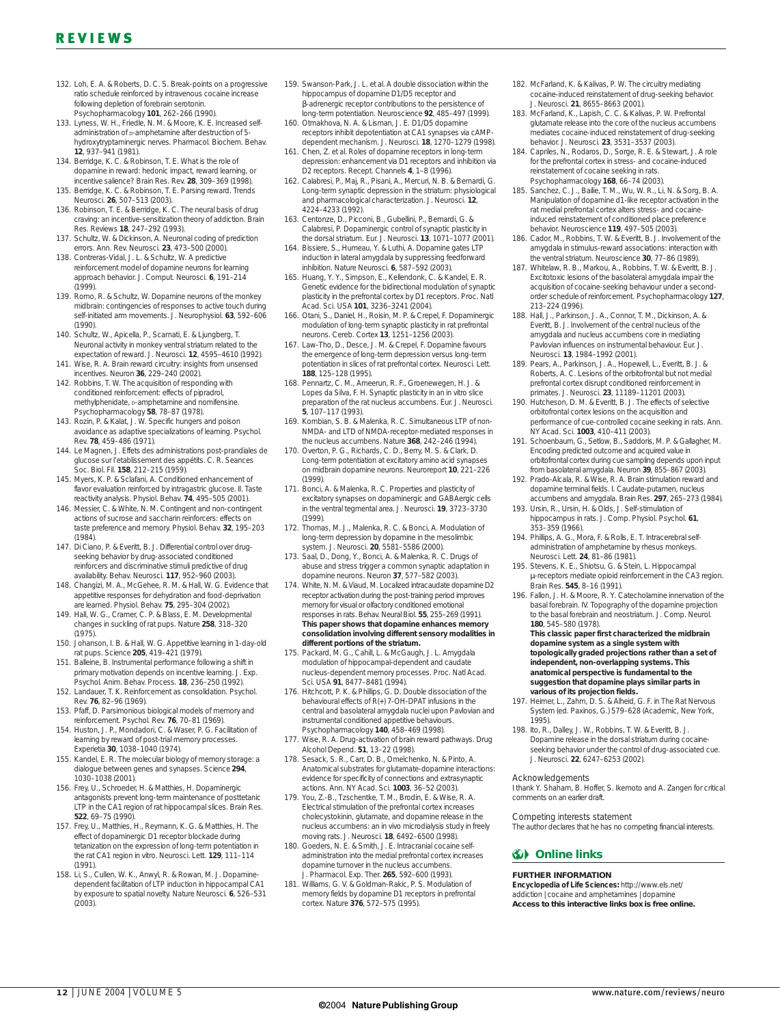- 132. Loh, E. A. & Roberts, D. C. S. Break-points on a progressive ratio schedule reinforced by intravenous cocaine increase following depletion of forebrain serotonin. *Psychopharmacology* **101**, 262–266 (1990).
- 133. Lyness, W. H., Friedle, N. M. & Moore, K. E. Increased selfadministration of **D-amphetamine** after destruction of 5hydroxytryptaminergic nerves. *Pharmacol. Biochem. Behav.*
- **12**, 937–941 (1981). 134. Berridge, K. C. & Robinson, T. E. What is the role of dopamine in reward: hedonic impact, reward learning, or incentive salience? *Brain Res. Rev.* **28**, 309–369 (1998).
- 135. Berridge, K. C. & Robinson, T. E. Parsing reward. *Trends Neurosci.* **26**, 507–513 (2003).
- 136. Robinson, T. E. & Berridge, K. C. The neural basis of drug craving: an incentive-sensitization theory of addiction. *Brain Res. Reviews* **18**, 247–292 (1993).
- Schultz, W. & Dickinson, A. Neuronal coding of prediction errors. *Ann. Rev. Neurosci.* **23**, 473–500 (2000).
- 138. Contreras-Vidal, J. L. & Schultz, W. A predictive reinforcement model of dopamine neurons for learning approach behavior. *J. Comput. Neurosci.* **6**, 191–214  $(1999)$
- 139. Romo, R. & Schultz, W. Dopamine neurons of the monkey midbrain: contingencies of responses to active touch during self-initiated arm movements. *J. Neurophysiol.* **63**, 592–606 (1990).
- 140. Schultz, W., Apicella, P., Scarnati, E. & Ljungberg, T. Neuronal activity in monkey ventral striatum related to the expectation of reward. *J. Neurosci.* **12**, 4595–4610 (1992).
- 141. Wise, R. A. Brain reward circuitry: insights from unsensed incentives. *Neuron* **36**, 229–240 (2002). 142. Robbins, T. W. The acquisition of responding with
- conditioned reinforcement: effects of pipradrol, methylphenidate, D-amphetamine and nomifensine
- *Psychopharmacology* **58**, 78–87 (1978). 143. Rozin, P. & Kalat, J. W. Specific hungers and poison avoidance as adaptive specializations of learning. *Psychol. Rev.* **78**, 459–486 (1971).
- 144. Le Magnen, J. Effets des administrations post-prandiales de glucose sur l'etablissement des appétits. *C. R. Seances Soc. Biol. Fil.* **158**, 212–215 (1959).
- 145. Myers, K. P. & Sclafani, A. Conditioned enhancement of flavor evaluation reinforced by intragastric glucose. II. Taste reactivity analysis. *Physiol. Behav.* **74**, 495–505 (2001).
- 146. Messier, C. & White, N. M. Contingent and non-contingent actions of sucrose and saccharin reinforcers: effects on taste preference and memory. *Physiol. Behav.* **32**, 195–203 (1984).
- 147. Di Ciano, P. & Everitt, B. J. Differential control over drugseeking behavior by drug-associated conditioned reinforcers and discriminative stimuli predictive of drug availability. *Behav. Neurosci.* **117**, 952–960 (2003).
- 148. Changizi, M. A., McGehee, R. M. & Hall, W. G. Evidence that appetitive responses for dehydration and food-deprivation are learned. *Physiol. Behav.* **75**, 295–304 (2002).
- 149. Hall, W. G., Cramer, C. P. & Blass, E. M. Developmental changes in suckling of rat pups. *Nature* **258**, 318–320  $(1975)$
- 150. Johanson, I. B. & Hall, W. G. Appetitive learning in 1-day-old rat pups. *Science* **205**, 419–421 (1979).
- 151. Balleine, B. Instrumental performance following a shift in primary motivation depends on incentive learning. *J. Exp. Psychol. Anim. Behav. Process.* **18**, 236–250 (1992).
- 152. Landauer, T. K. Reinforcement as consolidation. *Psychol. Rev.* **76**, 82–96 (1969).
- 153. Pfaff, D. Parsimonious biological models of memory and reinforcement. *Psychol. Rev.* **76**, 70–81 (1969).
- 154. Huston, J. P., Mondadori, C. & Waser, P. G. Facilitation of learning by reward of post-trial memory processes. *Experietia* **30**, 1038–1040 (1974).
- 155. Kandel, E. R. The molecular biology of memory storage: a dialogue between genes and synapses. *Science* **294**, 1030–1038 (2001).
- 156. Frey, U., Schroeder, H. & Matthies, H. Dopaminergic antagonists prevent long-term maintenance of posttetanic LTP in the CA1 region of rat hippocampal slices. *Brain Res.* **522**, 69–75 (1990).
- 157. Frey, U., Matthies, H., Reymann, K. G. & Matthies, H. The effect of dopaminergic D1 receptor blockade during tetanization on the expression of long-term potentiation in the rat CA1 region *in vitro*. *Neurosci. Lett.* **129**, 111–114 (1991).
- 158. Li, S., Cullen, W. K., Anwyl, R. & Rowan, M. J. Dopaminedependent facilitation of LTP induction in hippocampal CA1 by exposure to spatial novelty. *Nature Neurosci.* **6**, 526–531  $(2003)$
- 159. Swanson-Park, J. L. *et al.* A double dissociation within the hippocampus of dopamine D1/D5 receptor and β-adrenergic receptor contributions to the persistence of long-term potentiation. *Neuroscience* **92**, 485–497 (1999).
- 160. Otmakhova, N. A. & Lisman, J. E. D1/D5 dopamine receptors inhibit depotentiation at CA1 synapses via cAMPdependent mechanism. *J. Neurosci.* **18**, 1270–1279 (1998).
- 161. Chen, Z. *et al.* Roles of dopamine receptors in long-term depression: enhancement via D1 receptors and inhibition via D2 receptors. *Recept. Channels* **4**, 1–8 (1996).
- 162. Calabresi, P., Maj, R., Pisani, A., Mercuri, N. B. & Bernardi, G. Long-term synaptic depression in the striatum: physiological and pharmacological characterization. *J. Neurosci.* **12**, 4224–4233 (1992).
- 163. Centonze, D., Picconi, B., Gubellini, P., Bernardi, G. & Calabresi, P. Dopaminergic control of synaptic plasticity in the dorsal striatum. *Eur. J. Neurosci.* **13**, 1071–1077 (2001).
- 164. Bissiere, S., Humeau, Y. & Luthi, A. Dopamine gates LTP induction in lateral amygdala by suppressing feedforward inhibition. *Nature Neurosci.* **6**, 587–592 (2003).
- 165. Huang, Y. Y., Simpson, E., Kellendonk, C. & Kandel, E. R. Genetic evidence for the bidirectional modulation of synaptic plasticity in the prefrontal cortex by D1 receptors. *Proc. Natl Acad. Sci. USA* **101**, 3236–3241 (2004).
- 166. Otani, S., Daniel, H., Roisin, M. P. & Crepel, F. Dopaminergic modulation of long-term synaptic plasticity in rat prefrontal neurons. *Cereb. Cortex* **13**, 1251–1256 (2003).
- 167. Law-Tho, D., Desce, J. M. & Crepel, F. Dopamine favours the emergence of long-term depression versus long-term potentiation in slices of rat prefrontal cortex. *Neurosci. Lett.* **188**, 125–128 (1995).
- 168. Pennartz, C. M., Ameerun, R. F., Groenewegen, H. J. & Lopes da Silva, F. H. Synaptic plasticity in an *in vitro* slice preparation of the rat nucleus accumbens. *Eur. J. Neurosci.* **5**, 107–117 (1993).
- 169. Kombian, S. B. & Malenka, R. C. Simultaneous LTP of non-NMDA- and LTD of NMDA-receptor-mediated responses in the nucleus accumbens. *Nature* **368**, 242–246 (1994).
- 170. Overton, P. G., Richards, C. D., Berry, M. S. & Clark, D. Long-term potentiation at excitatory amino acid synapse on midbrain dopamine neurons. *Neuroreport* **10**, 221–226 (1999).
- 171. Bonci, A. & Malenka, R. C. Properties and plasticity of excitatory synapses on dopaminergic and GABAergic cells in the ventral tegmental area. *J. Neurosci.* **19**, 3723–3730 (1999).
- 172. Thomas, M. J., Malenka, R. C. & Bonci, A. Modulation of long-term depression by dopamine in the mesolimbic system. *J. Neurosci.* **20**, 5581–5586 (2000).
- Saal, D., Dong, Y., Bonci, A. & Malenka, R. C. Drugs of abuse and stress trigger a common synaptic adaptation in dopamine neurons. *Neuron* **37**, 577–582 (2003).
- 174. White, N. M. & Viaud, M. Localized intracaudate dopamine D2 receptor activation during the post-training period improves memory for visual or olfactory conditioned emotional responses in rats. *Behav. Neural Biol.* **55**, 255–269 (1991). **This paper shows that dopamine enhances memory consolidation involving different sensory modalities in different portions of the striatum.**
- 175. Packard, M. G., Cahill, L. & McGaugh, J. L. Amygdala modulation of hippocampal-dependent and caudate nucleus-dependent memory processes. *Proc. Natl Acad. Sci. USA* **91**, 8477–8481 (1994).
- 176. Hitchcott, P. K. & Phillips, G. D. Double dissociation of the behavioural effects of R(+) 7-OH-DPAT infusions in the central and basolateral amygdala nuclei upon Pavlovian and instrumental conditioned appetitive behaviours. *Psychopharmacology* **140**, 458–469 (1998).
- 177. Wise, R. A. Drug-activation of brain reward pathways. *Drug Alcohol Depend.* **51**, 13–22 (1998).
- 178. Sesack, S. R., Carr, D. B., Omelchenko, N. & Pinto, A. Anatomical substrates for glutamate-dopamine interactions: evidence for specificity of connections and extrasynaptic actions. *Ann. NY Acad. Sci.* **1003**, 36–52 (2003).
- 179. You, Z.-B., Tzschentke, T. M., Brodin, E. & Wise, R. A. Electrical stimulation of the prefrontal cortex increases cholecystokinin, glutamate, and dopamine release in the nucleus accumbens: an *in vivo* microdialysis study in freely moving rats. *J. Neurosci.* **18**, 6492–6500 (1998).
- 180. Goeders, N. E. & Smith, J. E. Intracranial cocaine selfadministration into the medial prefrontal cortex increases dopamine turnover in the nucleus accumbens. *J. Pharmacol. Exp. Ther.* **265**, 592–600 (1993).
- 181. Williams, G. V. & Goldman-Rakic, P. S. Modulation of memory fields by dopamine D1 receptors in prefrontal cortex. *Nature* **376**, 572–575 (1995).
- 182. McFarland, K. & Kalivas, P. W. The circuitry mediating cocaine-induced reinstatement of drug-seeking behavior. *J. Neurosci.* **21**, 8655–8663 (2001).
- 183. McFarland, K., Lapish, C. C. & Kalivas, P. W. Prefrontal glutamate release into the core of the nucleus accumbens mediates cocaine-induced reinstatement of drug-seeking behavior. *J. Neurosci.* **23**, 3531–3537 (2003).
- 184. Capriles, N., Rodaros, D., Sorge, R. E. & Stewart, J. A role for the prefrontal cortex in stress- and cocaine-induced reinstatement of cocaine seeking in rats. *Psychopharmacology* **168**, 66–74 (2003).
- 185. Sanchez, C. J., Bailie, T. M., Wu, W. R., Li, N. & Sorg, B. A. Manipulation of dopamine d1-like receptor activation in the rat medial prefrontal cortex alters stress- and cocaineinduced reinstatement of conditioned place preference behavior. *Neuroscience* **119**, 497–505 (2003).
- 186. Cador, M., Robbins, T. W. & Everitt, B. J. Involvement of the amygdala in stimulus-reward associations: interaction with the ventral striatum. *Neuroscience* **30**, 77–86 (1989).
- 187. Whitelaw, R. B., Markou, A., Robbins, T. W. & Everitt, B. J. Excitotoxic lesions of the basolateral amygdala impair the acquisition of cocaine-seeking behaviour under a secondorder schedule of reinforcement. *Psychopharmacology* **127**, 213–224 (1996).
- 188. Hall, J., Parkinson, J. A., Connor, T. M., Dickinson, A. & Everitt, B. J. Involvement of the central nucleus of the amygdala and nucleus accumbens core in mediating Pavlovian influences on instrumental behaviour. *Eur. J. Neurosci.* **13**, 1984–1992 (2001).
- 189. Pears, A., Parkinson, J. A., Hopewell, L., Everitt, B. J. & Roberts, A. C. Lesions of the orbitofrontal but not medial prefrontal cortex disrupt conditioned reinforcement in primates. *J. Neurosci.* **23**, 11189–11201 (2003).
- 190. Hutcheson, D. M. & Everitt, B. J. The effects of selective orbitofrontal cortex lesions on the acquisition and performance of cue-controlled cocaine seeking in rats. *Ann. NY Acad. Sci.* **1003**, 410–411 (2003).
- 191. Schoenbaum, G., Setlow, B., Saddoris, M. P. & Gallagher, M. Encoding predicted outcome and acquired value in orbitofrontal cortex during cue sampling depends upon input from basolateral amygdala. *Neuron* **39**, 855–867 (2003).
- 192. Prado-Alcala, R. & Wise, R. A. Brain stimulation reward and dopamine terminal fields. I. Caudate-putamen, nucleus accumbens and amygdala. *Brain Res.* **297**, 265–273 (1984).
- 193. Ursin, R., Ursin, H. & Olds, J. Self-stimulation of hippocampus in rats. *J. Comp. Physiol. Psychol.* **61**, 353–359 (1966).
- 194. Phillips, A. G., Mora, F. & Rolls, E. T. Intracerebral selfadministration of amphetamine by rhesus monkeys. *Neurosci. Lett.* **24**, 81–86 (1981).
- 195. Stevens, K. E., Shiotsu, G. & Stein, L. Hippocampal µ-receptors mediate opioid reinforcement in the CA3 region. *Brain Res.* **545**, 8–16 (1991).
- 196. Fallon, J. H. & Moore, R. Y. Catecholamine innervation of the basal forebrain. IV. Topography of the dopamine projection to the basal forebrain and neostriatum. *J. Comp. Neurol.* **180**, 545–580 (1978).

**This classic paper first characterized the midbrain dopamine system as a single system with topologically graded projections rather than a set of independent, non-overlapping systems. This anatomical perspective is fundamental to the suggestion that dopamine plays similar parts in various of its projection fields.**

- 197. Heimer, L., Zahm, D. S. & Alheid, G. F. in *The Rat Nervous System* (ed. Paxinos, G.) 579–628 (Academic, New York, 1995).
- 198. Ito, R., Dalley, J. W., Robbins, T. W. & Everitt, B. J. Dopamine release in the dorsal striatum during cocaineseeking behavior under the control of drug-associated cue. *J. Neurosci.* **22**, 6247–6253 (2002).

#### Acknowledgements

I thank Y. Shaham, B. Hoffer, S. Ikemoto and A. Zangen for critical comments on an earlier draft.

Competing interests statement The author declares that he has no competing financial interests.

#### **Online links**

#### **FURTHER INFORMATION**

**Encyclopedia of Life Sciences:** http://www.els.net/ addiction | cocaine and amphetamines | dopamine **Access to this interactive links box is free online.**